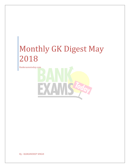Bankexamstoday.com

By : RAMANDEEP SINGH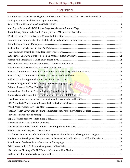### **CONTENTS**

| Multi-sectoral Development Programme to be Renamed as Pradhan Mantri Jan Vikas Karyakram17 |  |
|--------------------------------------------------------------------------------------------|--|
|                                                                                            |  |
|                                                                                            |  |
|                                                                                            |  |
|                                                                                            |  |
|                                                                                            |  |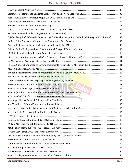| Chief of Army Staff Released a Book "Across the Bench - Insight into the Indian Military Judicial System"39 |        |
|-------------------------------------------------------------------------------------------------------------|--------|
|                                                                                                             |        |
|                                                                                                             |        |
|                                                                                                             |        |
|                                                                                                             |        |
|                                                                                                             |        |
|                                                                                                             |        |
|                                                                                                             |        |
|                                                                                                             |        |
|                                                                                                             |        |
|                                                                                                             |        |
|                                                                                                             |        |
|                                                                                                             |        |
| National Wind-Solar Hybrid Policy Issued by the Govt. Maria Land Maria Maria Maria Maria 144                |        |
|                                                                                                             |        |
|                                                                                                             |        |
|                                                                                                             |        |
|                                                                                                             |        |
|                                                                                                             |        |
|                                                                                                             |        |
|                                                                                                             |        |
|                                                                                                             |        |
|                                                                                                             |        |
|                                                                                                             |        |
|                                                                                                             |        |
|                                                                                                             |        |
|                                                                                                             |        |
|                                                                                                             |        |
|                                                                                                             |        |
|                                                                                                             |        |
|                                                                                                             |        |
| Bankexamstoday.com                                                                                          | Page 3 |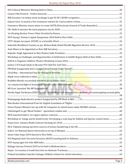| Workshop on Challenges and Opportunities of Arbitration in SAARC Region Held in New Delhi55                     |  |
|-----------------------------------------------------------------------------------------------------------------|--|
|                                                                                                                 |  |
|                                                                                                                 |  |
|                                                                                                                 |  |
|                                                                                                                 |  |
|                                                                                                                 |  |
|                                                                                                                 |  |
| 1st commercial flight of Arunachal Pradesh under UDAN sch <mark>eme ……………………………</mark> …………………………………………………………58 |  |
|                                                                                                                 |  |
| Navika Sagar Parikrama (INSV Tarini) – Indian Navy's all-women crew completes circumnavigating around globe     |  |
|                                                                                                                 |  |
|                                                                                                                 |  |
|                                                                                                                 |  |
|                                                                                                                 |  |
|                                                                                                                 |  |
| Workshop on 'Ganga and its biodiversity: Developing a road map for habitat and Species conservation' 61         |  |
|                                                                                                                 |  |
|                                                                                                                 |  |
|                                                                                                                 |  |
|                                                                                                                 |  |
|                                                                                                                 |  |
|                                                                                                                 |  |
|                                                                                                                 |  |
|                                                                                                                 |  |
|                                                                                                                 |  |
|                                                                                                                 |  |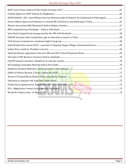| SURYA KIRAN -XIII : Joint Military Exercise Between India & Nepal to be Conducted at Pithoragarh 66 |  |
|-----------------------------------------------------------------------------------------------------|--|
|                                                                                                     |  |
|                                                                                                     |  |
|                                                                                                     |  |
|                                                                                                     |  |
|                                                                                                     |  |
|                                                                                                     |  |
|                                                                                                     |  |
|                                                                                                     |  |
|                                                                                                     |  |
|                                                                                                     |  |
|                                                                                                     |  |
|                                                                                                     |  |
|                                                                                                     |  |
|                                                                                                     |  |
|                                                                                                     |  |
|                                                                                                     |  |
|                                                                                                     |  |
|                                                                                                     |  |
| World No Tobacco Day- 31 May 2018                                                                   |  |
|                                                                                                     |  |
|                                                                                                     |  |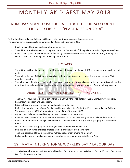## MONTHLY GK DIGEST MAY 2018

### <span id="page-6-0"></span>INDIA, PAKISTAN TO PARTICIPATE TOGETHER IN SCO COUNTER-TERROR EXERCISE – "PEACE MISSION-2018"

For the first time, India and Pakistan will be part of a multi-nation counter-terror exercise. The counter-terror exercise is to be conducted in Russia in September 2018.

- It will be joined by China and several other countries.
- The military exercise is going to take place under the framework of Shanghai Cooperation Organisation (SCO).
- India's participation at exercise was confirmed by Defence Minister Nirmala Sitharaman during meeting of SCO Defence Ministers' meeting held in Beijing in April 2018.

#### KEY FACTS

- The military drill will be held in the Ural Mountains of Russia and almost all SCO member countries will be part of it.
- The main objective of this Peace Mission is to enhance counter-terror cooperation among the eight SCO member countries.
- Though armies of India and Pakistan have worked together in UN peacekeeping missions, but this would be the first time since Independence that both these countries would together be a part of some military exercise.

### ABOUT SCO (SHANGHAI COOPERATION ORGANIZATION)

- The SCO was founded at a summit in Shanghai in 2001 by the Presidents of Russia, China, Kyrgyz Republic, Kazakhstan, Tajikistan and Uzbekistan.
- It is a political and security grouping headquartered in Beijing.
- Its full time members are- China, Russia, Kazakhstan, Uzbekistan, Tajikistan, Kyrgyzstan, India and Pakistan.
- They represent over 40% of humanity and nearly 20% of the global GDP.
- Afghanistan, Belarus, Iran and Mongolia have observer status at present.
- India and Pakistan were also admitted as observers in 2005 but they finally became full members in 2017.
- India's membership was strongly pushed by Russia while Pakistan's entry into the grouping was backed by China.
- SCO is successor of grouping called Shanghai Five, founded by China in 1996.
- Summits of the Council of Heads of State are held annually at alternating venues.
- The basic objective of SCO is to enhance military cooperation among its members.
- <span id="page-6-1"></span>It also works towards intelligence-sharing, counter-terrorism operations in Central Asia.

### 1ST MAY – INTERNATIONAL WORKERS DAY / LABOUR DAY

 1st May is celebrated as the International Workers Day. It is also known as Labour's Day or Worker's Day or even May Day in some countries.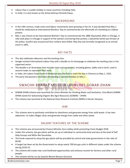- Labour Day is a public holiday in many countries including India.
- In India, it is also known as the Antarrashtriya Shramik Diwas.

#### BACKGROUND

- In the 19th century, trade union and labour movements were growing in the US. It was decided that May 1 would be celebrated as International Workers' Day to commemorate the aftermath of a bombing at a labour protest.
- May 1 was chosen to be International Workers' Day to commemorate the 1886 Haymarket affair in Chicago. A rally took place in Chicago in support of the workers and during that protest, a dynamite bomb was thrown at the police. Gunfire was ensued and four civilians were killed. May Day was formally recognized as an annual event in 1891.

#### KEY FACTS

- This day celebrates labourers and the working class.
- Google marked International Labour Day with a doodle on its homepage to celebrate the working class in the organised sector.
- The doodle is an illustration that includes tools and equipment, including gloves, ladles and a torch, used in several trades to represent their work.
- In India, the Labour Kisan Party of Hindustan was the first to mark the day in Chennai on May 1, 1923.
- <span id="page-7-0"></span>The party had passed a resolution demanding a national holiday on May 1.

### SWACHH BHARAT MISSION LAUNCHES GOBAR-DHAN

- GOBAR-DHAN scheme was launched the Union Minister for Drinking Water and Sanitation, Uma Bharti.GOBAR-DHAN stands for Galvanizing Organic Bio-Agro Resources (GOBAR) – DHAN.
- The scheme was launched at the National Dairy Research Institute (NDRI) in Karnal, Haryana.

*INNA* 

#### AIM

 This scheme aims to positively contribute to cleanliness and generate energy from solid waste. It has twin objectives- to make villages clean and generate energy from cattle and other waste.

#### SALIENT FEATURES OF THE SCHEME

- This scheme was announced by Finance Minister Arun Jaitley while presenting Union Budget 2018.
- Under this scheme, bio-gas plants will be set up at individual or community level and also at the level of Self Help Groups and NGOs like Gaushalas.
- The funds required to setup bio-gas plants will be provided by central and state governments in the ratio of 60:40.
- A target has been set by the Government to setup nearly 700 bio-gas units in different states under the scheme during 2018-19.
- The scheme will create new rural livelihood opportunities and enhance income for farmers and other rural people.
- This scheme will be run by Swachh Bharat Mission (Gramin).

#### Bankexamstoday.com Page 7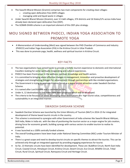- The Swachh Bharat Mission (Gramin) comprises two main components for creating clean villages
	- o creating open defecation free (ODF) villages
	- o managing solid and liquid waste in villages
- Under Swachh Bharat Mission (Gramin), over 3.5 lakh villages, 374 districts and 16 States/UTs across India have already been declared open defecation free (ODF).
- The GOBAR-DHAN scheme is an important element of this ODF-plus strategy.

### <span id="page-8-0"></span>MOU SIGNED BETWEEN PHDCCI, INDIAN YOGA ASSOCIATION TO PROMOTE YOGA

- A Memorandum of Understanding (MoU) was signed between the PHD Chamber of Commerce and Industry (PHDCCI) and Indian Yoga Association (IYA) in the Krishna Circuit in Uttar Pradesh.
- This was done to promote yoga, health, wellness and spiritual tourism in Krishna Circuit.

#### KEY FACTS

- The two organisations have joined hands to provide a holistic tourism experience to domestic and international travellers looking for some spiritually invigorating and cultural experiences.
- PHDCCI has been frontrunner in the wellness, spiritual, knowledge and health sectors.
- It is committed to bringing about effective changes in management, innovation and proactive development of strategies and strengthening linkages for advancement through partnerships with like-minded organisations.
- The Government is trying to promote Krishna Circuit as a major tourist attraction under Swadesh Darshan Scheme.
- It is named after Lord Krishna and is centered on him.
- Under it, 12 destinations in five states have been proposed which will be developed.
- The criteria to be focussed on while developing these destinations are- high tourist value, competitiveness and sustainability in an integrated manner.

#### SWADESH DARSHAN SCHEME

- Swadesh Darshan Scheme was launched by the Union Ministry of Tourism (MoT) in 2014-15 for integrated development of theme based tourist circuits in the country.
- This scheme is envisioned to synergise with other Government of India schemes like Swachh Bharat Abhiyan, Skill India, Make in India etc. with the idea of positioning the tourism sector as a major engine for job creation, driving force for economic growth, building synergy with various sectors to enable tourism to realise its potential.
- It was launched as a 100% centrally funded scheme.
- The overall funding powers have been kept under National Steering Committee (NSC) under Tourism Minister of India.
- There is a great scope and need to develop tourist circuits on specific themes to attract the tourists. This can be achieved only through an integrated approach by providing engaging experiences for tourist.
- So far, 13 thematic circuits have been identified for development. These are: Buddhist Circuit, North-East India Circuit, Coastal Circuit, Himalayan Circuit, Krishna Circuit, Desert Circuit, Eco Circuit, Wildlife Circuit, Tribal Circuit, Rural Circuit, Spiritual Circuit, Ramayana Circuit and Heritage Circuit.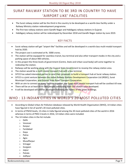### <span id="page-9-0"></span>SURAT RAILWAY STATION TO BE 3RD IN COUNTRY TO HAVE 'AIRPORT LIKE' FACILITIES

- The Surat railway station will be the third in the country to be developed as a world-class facility under a Railway Ministry station redevelopment programme.
- The first two railway stations were Gandhi Nagar and Habibganj railway stations in Gujarat.
- Habibganj railway station will be redeveloped by December 2018 and Gandhi Nagar station by June 2019.

#### KEY FACTS

- Surat railway station will get "airport-like" facilities and will be developed in a world-class multi-modal transport hub by 2020.
- The project cost is estimated at Rs. 5000 crores.
- The station will be equipped for seamless transit, bus terminal and also other transport modes in the city and a parking space of about 900 vehicles.
- In this project the three levels of government (Centre, State and Urban Local body) will come together to redevelop the station.
- Railways will be working along with the Gujarat State Government to revamp the railway station area.
- The station would be a multi-modal transport hub with a bus terminal.
- SITCO has asked interested parties to send their proposals to build a transport hub at Surat railway station.
- SITCO is a joint venture between the Indian Railway Stations Development Corporation Ltd (IRSDC), Surat Municipal Corporation, and Gujarat State Road Transport Corporation.
- With an aim to connect so many facilities together, the Surat multi-modal transport hub will be costliest till now.
- There will be an at least three lakh people commuting from this stretch once developed.
- It will be developed will also be developed following the norms of the green buildings.

### <span id="page-9-1"></span>WHO : 13 INDIAN CITIES IN WORLD'S 20 MOST POLLUTED CITIES

- According to Global Urban Air Pollution database released by World Health Organisation (WHO), 14 Indian cities have figured in list of world's 20 most polluted cities.
- In terms of PM10 levels, 13 cities in India figured among the 20 most-polluted cities of the world in 2016 whereas in terms of PM2.5 levels in 2016, 14 Indian cities were included.
- The 14 Indian cities in the list include
	- o Delhi
	- o Varanasi
	- o Kanpur
	- o Faridabad
	- o Gaya
	- o Patna
	- o Agra
	- o Muzaffarpur
	- o Srinagar
	- o Gurgaon
	- o Jaipur
	- o Patiala
	- o Jodhpur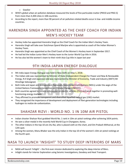o Gwalior

- WHO's global urban air pollution database measured the levels of fine particulate matter (PM10 and PM2.5) from more than 4,300 cities in 108 countries.
- According to the report, more than 90 percent of air pollution-related deaths occur in low- and middle-income countries.

### <span id="page-10-0"></span>HARENDRA SINGH APPOINTED AS THE CHIEF COACH FOR INDIAN MEN'S HOCKEY TEAM

- Hockey India has appointed Harendra Singh as the Chief Coach for the Indian Men's Hockey Team.
- Harendra Singh will take over Dutchman Sjoerd Marijne who is appointed as coach of the Indian Women's Hockey Team.
- Harendra Singh was appointed as the Chief Coach of the Women's Hockey team in September 2017.
- He had led the Indian Junior Men's Hockey team to the Junior World Cup title in 2016.
- <span id="page-10-1"></span>He has also led the women's team to their ninth Asia Cup title in Japan last year

### 9TH INDIA-JAPAN ENERGY DIALOGUE

- 9th India Japan Energy Dialogue was held in New Delhi on May 1, 2018.
- The Indian side was represented by Minister of State (Independent Charge) for Power and New & Renewable Energy, R.K Singh and Japanese side was represented by Minister of Economy, Trade and Industry (METI) Mr Hiroshige Sekosigned.
- Both India and Japan aim to implement Nationally Determined Contributions (NDCs) under the aegis of the United Nations Framework Convention on Climate Change (UNFCCC).
- Both countries agreed to initiate a discussion on electric vehicles (EVs) and work together in promoting wellfunctioning energy markets.
- They affirmed to promote transparent and diversified liquefied natural gas (LNG) market.
- <span id="page-10-2"></span> They recognized the importance of development and deployment of next-generation technologies including hydrogen to realize de-carbonization.

### SHAHZAR RIZVI : WORLD NO. 1 IN 10M AIR PISTOL

- Indian shooter Shahzar Rizvi grabbed World No. 1 rank in 10m air pistol rankings after achieving 1654 points.
- He won a silver medal in the recently held World Cup in Changwon, Korea.
- The other Indians in the top-10 are Jitu Rai, who is placed sixth on the chart, and Om Prakash Mitharval, at the 12th spot.
- Among the women, Manu Bhaker was the only Indian in the top-10 of the women's 10m air pistol rankings at the fourth spot.

### <span id="page-10-3"></span>NASA TO LAUNCH 'INSIGHT' TO STUDY DEEP INTERIORS OF MARS

- NASA will launch 'InSight' the first-ever mission dedicated to exploring the deep interior of Mars.
- InSight stands for Interior Exploration using Seismic Investigations, Geodesy and Heat Transport.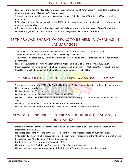- It will be launched on 5th May 2018 from Space Launch Complex-3 at Vandenberg Air Force Base in California aboard United Launch Alliance (ULA) Atlas V rocket.
- The rocket will also launch two mini-spacecraft called Mars Cube One (MarCO) which is NASA's technology experiment.
- InSight is a stationary lander that will be first NASA mission since Apollo moon landings to place seismometer to measure quakes on Mars.
- Information collected through this mission will help to know about the earliest stages of Mars' formation.
- MarCo is designed to test new communications and navigation capabilities for future missions.

### <span id="page-11-0"></span>15TH PRAVASI BHARATIYA DIWAS TO BE HELD IN VARANASI IN JANUARY 2019

- The 15th Pravasi Bharatiya Divas will be held in holy city of Varanasi from 21-23 January 2019.
- The theme would be "Role of Indian Diaspora in building a New India".
- The event will be organized by the Union Ministry of External Affairs (MEA) in association with Uttar Pradesh government.
- It will be inaugurated by Prime Minister Narendra Modi and the PM of Mauritius, Pravind Jugnauth.
- Indian Diaspora will get an option to first participate in the Kumbh Snan (in Allahabad, Uttar Pradesh) and then travel to New Delhi to be part of the Republic Day Parade on January 26, 2019.

### <span id="page-11-1"></span>FORMER AIFF PRESIDENT P P LAKSHAMAN PASSES AWAY

- The former President of AIFF (All India Football Federation) P P Lakshaman died after suffering from a long term illness in Kannur, Kerala.
- He died at an age of 83 years.
- Lakshmanan served AIFF as the Secretary from 1988 to 1996.
- He went on to become senior Vice President of AIFF in 1996 and eventually, became Executive President in 2000.
- He has also served the Kerala Football Association as the Vice-President.
- He was the Executive Committee Member of the Indian Olympic Association for five years.

### <span id="page-11-2"></span>NEW DG OF PIB (PRESS INFORMATION BUREAU) – SITANSHU RANJAN KAR

- Indian Information Services (IIS) officer Sitanshu Ranjan Kar has taken over as the Director General of Press Information Bureau (PIB).
- He has replaced Frank Noronha as the DG of PIB. Frank Noronha superannuated on 30th April 2018.
- 1983-batch IIS officer, who has served at key positions in various media units of the Ministry of Information and Broadcasting viz. All India Radio (AIR) and Doordarshan.
- Mr Kar joined the Press Information Bureau in 2003.
- He took over as the 27th Principal Spokesperson of the Government of India.
- He was the longest-serving spokesperson of the Ministry of Defence for over a decade at a stretch.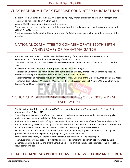### <span id="page-12-0"></span>VIJAY PRAHAR MILITARY EXERCISE CONDUCTED IN RAJASTHAN

- South Western Command of Indian Army is conducting 'Vijay Prahar' exercise in Rajasthan in Mahajan area.
- The exercise will conclude on 9th May 2018.
- Around 20,000 troops are participating in the exercise.
- The aim of the exercise is to fine-tune the jointmanship with the Indian Air Force. Which recently conducted GAGAN SHAKTI exercise.
- The formations will refine their drills and procedures for fighting in nuclear environment during course of the exercise.

### <span id="page-12-1"></span>NATIONAL COMMITTEE TO COMMEMORATE 150TH BIRTH ANNIVERSARY OF MAHATMA GANDHI

- President Ram Nath Kovind presided over the first meeting of the national committee set up for a commemoration of the 150th birth anniversary of Mahatma Gandhi.
- 150th birth anniversary of Mahatma Gandhi will be commemorated from 2nd October 2019 to 2nd October 2020.
- Rs 150 crore has been allocated for this purpose under the Union Budget 2018.
- The National Committee to commemorate the 150th birth anniversary of Mahatma Gandhi comprises 125 members including 116 members from India and 9 international members.
- These 9 international members include two former Secretary Generals of the UN Kofi Annan and Ban-Ki-Moon.
- The Committee includes PM Narendra Modi (as Head), Vice President Venkaiah Naidu, CMs, Union Ministers, former PM and Chief Justices of India.

### <span id="page-12-2"></span>NATIONAL DIGITAL COMMUNICATIONS POLICY 2018 – DRAFT RELEASED BY DOT

- The Department of Telecommunications (DoT) has released draft of new Telecom policy National Digital Communications Policy, 2018.
- This policy aims to unlock transformative power of digital communications networks to achieve the goal of digital empowerment and well-being of the people of India.
- It aims to enhance contribution of digital communications sector to 8% of India's GDP from around 6% in 2017.
- It is an initiative by the Govt. to set up an effective institutional mechanism to protect consumers' interests. This includes a Telecom Ombudsman and a centralised web based complaint redressal system.
- Under the 'National Broadband Mission Rashtriya Broadband Abhiyan' government has also set a goal to provide 1Gbps of internet speed to all gram panchayats in India by 2020.
- Use of renewable energy technologies in the communications sector will be encouraged.
- The Government will also prepare a roadmap to explore and utilise the opportunities presented by next generation-networks like 5G and emerging technologies like artificial intelligence, internet of things, robotics, cloud computing etc.

### <span id="page-12-3"></span>SUBHASH CHANDRA APPOINTED AS THE NEW CHAIRMAN OF IRDA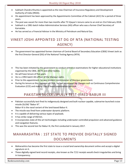- Subhash Chandra Khuntia is appointed as the new Chairman of Insurance Regulatory and Development Authority of India (IRDAI).
- His appointment has been approved by the Appointments Committee of the Cabinet (ACC) for a period of three years.
- The post was vacant for more than two months after TS Vijayan's tenure came to an end on 21st February 2018.
- Subhash is a 1981-batch Indian Administrative Services (IAS) officer who was a former Chief Secretary of Karnataka.
- He has served as a Financial Advisor in the Ministry of Petroleum and Natural Gas.

### <span id="page-13-0"></span>VINEET JOSHI APPOINTED 1ST DG OF NTA (NATIONAL TESTING AGENCY)

- The government has appointed former chairman of Central Board of Secondary Education (CBSE) Vineet Joshi as the first Director-General (DG) of the National Testing Agency (NTA).
- This has been initiated by the government to conduct entrance examinations for higher educational institutions organised by the CBSE, AICTE and other bodies.
- He will have tenure of five years.
- He is a 1992-batch IAS officer of the Manipur cadre.
- Prior to this appointment, he was resident commissioner of Manipur government.
- <span id="page-13-1"></span>During his tenure as the Chairman of CBSE, he had introduced big changes such as Continuous Comprehensive Evaluation (CCE) and making Class X board examination optional.

### PAKISTAN SUCCESSFULLY TEST-FIRED BABUR III

 Pakistan successfully test-fired its indigenously designed and built nuclear-capable, submarine-launched cruise missile (SLCM) "Babur III".

Babur-III is the naval variant of the land-based Babur-II.

- The missile was fired from underwater dynamic platform.
- It is capable of delivering various types of payloads.
- It has strike range of 450 km.
- It incorporates state-of-the-art technologies including underwater controlled propulsion and advanced guidance and navigation features.
- This was the second test for Babur III, the first conducted in January 2017.

### <span id="page-13-2"></span>MAHARASHTRA : 1ST STATE TO PROVIDE DIGITALLY SIGNED DOCUMENTS

- Maharashtra has become the first state to issue a crucial land ownership document online and accept a digital signature on it.
- These digitally-signed land record receipts, also known as the 7/12 receipts would check irregularities and bring in transparency.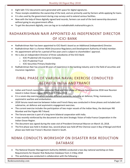- Eight lakh 7/12 documents were generated with space for digital signatures.
- These receipts establishes the ownership of the land, and are primarily used by farmers while applying for loans.
- It is also used by the government during crop surveys and to extend various facilities.
- Now with the help of these digitally signed land records, farmers can avail of the land ownership document without going to any government office.
- To get the document digitally, one can log on to mahabhulekh.maharashtra.gov.in.

### <span id="page-14-0"></span>RADHAKRISHNAN NAIR APPOINTED AS INDEPENDENT DIRECTOR OF ICICI BANK

- Radhakrishnan Nair has been appointed to ICICI Bank's board as an Additional (Independent) Director.
- Radhakrishnan Nair is a former IRDAI (Insurance Regulatory and Development Authority of India) member.
- His appointment will be for a period of five years and is subject to shareholders' approval.
- He is also an independent Director of three subsidiaries of the ICICI Bank
	- o ICICI Prudential Life Insurance Company
	- o ICICI Prudential Trust
	- o ICICI Securities Primary Dealership
- <span id="page-14-1"></span> Radhakrishnan Nair has around 40 years of experience in the banking industry and in the field of securities and insurance regulation.

### FINAL PHASE OF VARUNA NAVAL EXERCISE CONDUCTED BETWEEN INDIA AND FRANCE

- Indian and French navies have conducted final and third phase of Varuna naval exercise 2018 near Reunion Island in Indian Ocean region (IOR) from 1-7 May 2018.
- It is a seven-day exercise which includes different scenarios, including air defence, firing, manoeuvers, asymmetric warfare and embarkation.
- 2018 Varuna naval exercise between Indian and French Navy was conducted in three phases and included antisubmarine, air defence and asymmetric engagement exercises.
- The current exercise includes the participation of two major vessels of the Indian Navy, the destroyer INS Mumbai and the frigate INS Trikand.
- The Varuna exercise is part of a long-term bilateral cooperation with India.
- It was recently reinforced by the document on the Joint Strategic Vision of India-France Cooperation in the Indian Ocean Region.
- The document was signed during the state visit of President Emmanuel Macron on March 10, 2018.
- The first phase was held in Arabian Sea, second phase was held off the Chennai coast in Bay of Bengal and third phase was held near France's Reunion Island in South.

### <span id="page-14-2"></span>NDMA CONDUCTS WORKSHOP ON DISASTER RISK REDUCTION DATABASE

- The National Disaster Management Authority (NDMA) conducted a two-day national workshop on Data Requirements for Disaster Risk Reduction Database from 2-3 May 2018
- This workshop was conducted in collaboration with the following –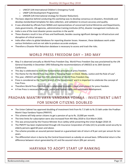- o UNICEF (UN International Children's Emergency Fund)
- o UNDP (UN Development Programme)
- o UNISDR (UN International strategy for Disaster Reduction).
- The basic objective behind conducting this workshop was to develop consensus on disasters, thresholds and develop standardised templates for data collection, and validation to ensure accuracy and quality.
- It was attended by officials from NDMA and representatives of concerned Central Ministries and Departments, state governments, UN agencies, administrative training institutes (ATIs), disaster management institutes etc.
- India is one of the most disaster-prone countries in the world.
- These disasters result in loss of lives and livelihoods, besides causing significant damage to infrastructure and disruption of critical services.
- India often refers to global databases for reporting disaster losses. However, these databases work under various limitations and are not able to produce accurate analyses.
- <span id="page-15-0"></span>Therefore a Disaster Risk Reduction database is necessary to access and track the risks.

### WORLD PRESS FREEDOM DAY – 3RD MAY

- May 3 is observed annually as World Press Freedom Day. World Press Freedom Day was proclaimed by the UN General Assembly in December 1993 following the recommendations of UNESCO at its 26th General Conference.
- This day is celebrated to mark the fundamental principles of press freedom.
- The theme for the World Press Day 2018 is "Keeping Power in Check: Media, Justice and the Rule of Law".
- This year, UNESCO will lead the 25th celebration of World Press Freedom Day.
- Press is considered as the 'Fourth branch of the Government' and it is important to celebrate the concept of Free Press.
- Therefore World Press Freedom day is celebrated to enable a legal environment for press freedom.
- A Free Press is necessary for peace, justice and human rights and sustainable development.

### <span id="page-15-1"></span>PRADHAN MANTRI VAYA VANDANA YOJANA : INVESTMENT LIMIT FOR SENIOR CITIZENS DOUBLED

- The Union Cabinet has approved doubling of investment limit from Rs 7.5 lakh to Rs 15 lakh under the Pradhan Mantri Vaya Vandana Yojana (PMVVY).
- This scheme will help senior citizens to get a pension of up to Rs. 10,000 per month.
- The time limits for subscription were also increased from 4th May 2018 to 31st March 2020.
- This was announced by the Finance Minister Arun Jaitley while presenting the Union Budget 2018-19.
- The PMVYY has been implemented through Life Insurance Corporation of India (LIC) to provide social security to elderly persons aged 60 years and above.
- The scheme provides an assured pension based on a guaranteed rate of return of 8 per cent per annum for ten years.
- <span id="page-15-2"></span> The differential return is borne by the Central Government as subsidy on annual basis. Differential return is the difference between return generated by LIC and the assured return (8% per annum).

### HARYANA TO ADOPT START UP RANKING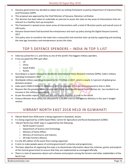- Haryana government has decided to adopt start up ranking framework issued by Department of Industrial Policy and Promotion (DIPP).
- This proposal was approved by the Chief Minister of Haryana, Manohar Lal Khattar.
- This decision has been taken to undertake an exercise to assess the state on key areas of interventions that are relevant to a healthy start-up ecosystem.
- The framework is spread across seven areas of interventions with a total of 38 action points and overall score of 100 marks.
- Haryana Government had launched the entrepreneur and start-up policy during the Digital Haryana Summit, 2017.
- <span id="page-16-0"></span> This policy aims to transform the state into a resourceful and inventive start-up hub by supporting and assisting the new-age innovators and entrepreneurs across the state.

### TOP 5 DEFENCE SPENDERS – INDIA IN TOP 5 LIST

- India has joined the U.S. and China as one of the world's five biggest military spenders.
- It has occupied the fifth spot after
	- o US
	- o China
	- o Saudi Arabia
	- o Russia
- According to a report released by Stockholm International Peace Research Institute (SIPRI), India's military spending increased in 2017.
- Worldwide military spending increased to \$1.73 trillion in 2017, which is nearly 2.2 percent of global gross domestic product.
- India spent US\$63.9 billion on defence in 2017, an increase of 5.5 per cent compared to that in 2016.
- Reasons like the growing border tension with China, cross-border threat from Pakistan etc. has resulted in an increase in the military expenditure.
- As per the earlier reports, India was also the largest importer of arms in the world.
- <span id="page-16-1"></span> Finance Minister Arun Jaitley has allocated Rs 3,59,894 crore to the Defence Ministry in this year's budget session.

### VIBRANT NORTH EAST 2018 HELD IN GUWAHATI

- Vibrant North East 2018 event is being organized in Guwahati, Assam.
- It is being organized by a Delhi-based NGO, Centre for Agriculture and Rural Development (CARD).
- 'Vibrant North East 2018' expo is supported by the following
	- o North Eastern Council
	- o Department of Science and Technology
	- o Ministry of Home Affairs
	- o Ministry of Commerce and Industry
	- o All India Farmers Alliance
- It is the 4th edition of the event that is being organized.
- It aims to make people aware of central government's schemes and programmes.
- The basic objective of organizing this expo is to disseminate information about the schemes, grants and projects of the Central government to ensure that they are implemented as envisaged officially.
- There is a lack of awareness about such schemes and projects among the farmers and other stakeholders of the North East.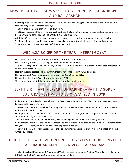### <span id="page-17-0"></span>MOST BEAUTIFUL RAILWAY STATIONS IN INDIA – CHANDRAPUR AND BALLARSHAH

- Chandrapur and Ballarshah railway stations in Maharashtra have bagged the first prize in the "most beautiful" stations category of the Indian Railways.
- The first prize includes a cash award of Rs 10 lakh.
- The Nagpur Division of Central Railway has beautified the two stations with paintings, sculptures and murals based on wildlife at the Tadoda National Park and local tribal art.
- A total of 62 entries from across 11 railway zones were received by the railway board for the selection.
- The idea behind the beautification project is to make railway stations look more inviting and attractive.
- <span id="page-17-1"></span>The number two slot has gone to Bihar's Madhubani station.

### WBC ASIA BOXER OF THE YEAR – NEERAJ GOYAT

- Neeraj Goyat has been honoured with WBC Asia Boxer of the Year Award.
- He is currently the WBC Asia Champion in the welter weight category.
- This award was given by the Asian Boxing Council at WBC Asia and WBC Muaythai annual awards presentation ceremony in Bangkok.
- Neeraj Goyat is a professional boxer from India to have made it to WBC world ranking.
- He has won WBC Asian Champion three times in 2015, 2016 and 2017.
- He won the title of India's most promising boxer in 2008.
- <span id="page-17-2"></span>Since turning pro in 2011, he has won nine fights including two knockouts.

### 157TH BIRTH ANNIVERSARY OF RABINDRANATH TAGORE – CULTURAL FESTIVAL TO BE ORGANIZED IN EGYPT

- India is organizing a five-day cultural festival in Egypt to commemorate the 157th birth anniversary of Nobel laureate Rabindranath Tagore.
- The festival is scheduled to be held from May 3 to 7 in the Maulana Azad Center for Indian Culture, affiliated with the Indian embassy in Cairo.
- During the festival, an exhibition of the paintings of Rabindranath Tagore will be organized. It will be titled "Rabindranath Tagore: Rhythm in Colors".
- Apart from the exhibition, a music concert, film screening and a lecture will also be organized.
- Rabindranath Tagore was the first non-European to win the Nobel Prize. He won the Nobel Prize in Literature in the year 1913 in recognition for his collection of poems, 'Gitanjali'.
- The movie 'Kabuliwala' will be screened at the Hanager Cinema, Opera House Complex. It is based on a novel written by Tagore.

### <span id="page-17-3"></span>MULTI-SECTORAL DEVELOPMENT PROGRAMME TO BE RENAMED AS PRADHAN MANTRI JAN VIKAS KARYAKRAM

 The Multi-sectoral Development Programme (MsDP) has been renamed as Pradhan Mantri Jan Vikas Karyakram (PMJVK) by the CCEA (Cabinet Committee on Economic Affairs).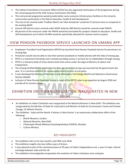- The Cabinet Committee on Economic Affairs (CCEA) has also approved continuation of the programme during the remaining period of the 14th Finance Commission (till 2020).
- The restructured programme would provide better socio economic infrastructure facilities to the minority communities particularly in the field of education, health & skill development.
- The area to be covered under 'Pradhan Mantri Jan Vikas Karyakram' would be 57 percent more as compared to the existing MsDP.
- Around 196 districts were covered under MsDP whereas 308 districts would be covered under PMJVK.
- 80 percent of the resources under the PMJVK would be earmarked for projects related to education, health and skill development out of which 30-40% would be specifically allocated for women-centric projects.

### <span id="page-18-0"></span>VIEW PENSION PASSBOOK SERVICE LAUNCHED ON UMANG APP

- Employees' Provident Fund Organisation (EPFO) has launched View Pension Passbook Service for pensioners on Umang App.
- Pensioners would now be able to view their pension passbook on mobile phones with the help of Umang app.
- EPFO is a retirement fund body and is already providing various e-services for its stakeholders through Umang.
- EPFO is a statutory body of Union Government that comes under the aegis of Ministry of Labour and Employment.
- The Umang (Unified Mobile Application for New-age Governance) app was launched by the government last year. It is a common platform for various government services at one place.
- It was developed by Ministry of Electronics and Information Technology (MeitY) and National e-Governance Division (NeGD).
- Inclusion of View Pension Passbook Service is a part of the EPFO's plan to go paperless by August 2018 and provide all its services online.

### <span id="page-18-1"></span>EXHIBITION ON INDIAN CIVILIZATION INAUGURATED IN NEW DELHI

- An exhibition on Indian Civilization was inaugurated at the National Museum in New Delhi. The exhibition was inaugurated by the Minister of State for Culture(I/c) and Minister of State for Environment, Forest and Climate Change, Dr Mahesh Sharma.
- The Exhibition 'India and the World: A History in Nine Stories' is an extensively collaborative effort of the following
	- o British Museum, London
	- o National Museum, New Delhi
	- o Chhatrapati Shivaji Maharaj VastuSangrahalaya (CSMVS), Mumbai
	- o Culture Ministry

#### KEY HIGHLIGHTS

- The exhibition will run for two months until 30th June 2018.
- The exhibition insights into two million years of history.
- It was planned as part of the commemoration of 70 years of India's Independence and a year of major cultural exchange between India and the UK.
- The exhibition chronologically encapsulates the evolution of Indian civilization since antiquity.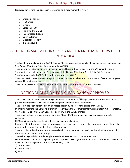- It is spread over nine sections, each representing a pivotal moment in history
	- o Shared Beginnings
	- o First Cities
	- o Empire
	- o State and Faith
	- o Picturing and Divine
	- o Indian Ocean Traders
	- o Court Cultures
	- o Quest for Freedom
	- o Time unbound

### <span id="page-19-0"></span>12TH INFORMAL MEETING OF SAARC FINANCE MINISTERS HELD IN MANILA

 The twelfth informal meeting of SAARC Finance Ministers was held in Manila, Philippines on the sidelines of the 51st Annual Meeting of Asian Development Bank (ADB).

The meeting was attended by the Finance Ministers/Heads of Delegations from the SAAC member states.

- The meeting was held under the Chairmanship of the Finance Minister of Nepal, Yuba Raj Khatiwada.
- The Chairman thanked ADB for its continuous support to SAARC.
- The Finance Ministers/Heads of Delegation briefed the meeting about the current status of economic progress achieved by their countries.
- <span id="page-19-1"></span>They also appreciated ADB for its contribution in the economic growth of SAARC countries.

### NATIONAL MISSION FOR CLEAN GANGA APPROVED

- The 11th Executive Committee meeting of National Mission for Clean Ganga (NMCG) recently approved the project encompassing the use of GIS technology for Namami Gange Programme.
- The project has been approved at an estimated cost of 86.84 crore for a period of five years.
- In order to facilitate the Ganga rejuvenation task through the Geographic Information System (GIS) technology, the National Mission for Clean Ganga has tied-up with the Survey of India.
- The project includes the use of Digital Elevation Model (DEM) technology which ensures accurate data collection.
- DEM is an important aspect for river basin management planning.
- It enables identification of entire topography of an area making it easy for policy makers to analyse the available data thereby supporting the decision-making process.
- The data collected and subsequent actions taken by the government can easily be shared with the local public through geo portals and mobile apps.
- The technology will also enable people to send their feedback up to the national level.
- National Mission for Clean Ganga has approved a project to strengthen State Pollution Control Boards (SPCBs) of five main stem Ganga basin states of the following states
	- a) Uttarakhand
	- b) Uttar Pradesh
	- c) Bihar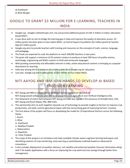d) Jharkhand e) West Bengal

### <span id="page-20-0"></span>GOOGLE TO GRANT \$3 MILLION FOR E-LEARNING, TEACHERS IN INDIA

- Google.org Google's philanthropic arm, has announced additional grants of USD 3 million to India's educationbased NGO's.
- It was done with an aim to bridge the learning gap in India and improve the quality of education access. \$3 million grants has been given to two Indian NGOs- a) Central Square Foundation (\$2 million grant) b) Teacher App (\$1 million grant)
- Google.org aims to provide teachers with training and resources on the concepts of math, science, language, and pedagogy.
- The funds are expected to scale the platform to reach 500,000 teachers in two years.
- The grant will support a minimum of 20 content creators to produce at least 200 hours of quality science, technology, engineering and Math content in Hindi and vernacular languages.
- With growing connectivity and affordable internet in India, online educational content is emerging as a popular destination for learning.
- India was among the first countries to receive grants from Google.org for education.
- <span id="page-20-1"></span>Last year, Google.org had funded grants of \$8.4 million to four Indian NGOs.

### NITI AAYOG AND IBM JOIN HANDS TO DEVELOP AI BASED PRECISION FARMING

- NITI Aayog and IBM to collaborate to develop Precision Agriculture based on AI NITI Aayog would collaborate with IBM to develop Precision Agriculture over Artificial Intelligence (AI).
- The Statement of Intent (SoI) between NITI Aayog and IBM was signed in the presence of Amitabh Kant, CEO, NITI Aayog and Karan Bajwa, MD, IBM India.
- This partnership aims to work together towards use of technology to provide insights to farmers to improve crop productivity, soil yield, control agricultural inputs with the overarching goal of improving farmers' incomes.
- The first phase of the project will focus on developing the model for 10 Aspirational Districts across the following States
	- i. Assam
	- ii. Bihar
	- iii. Jharkhand
	- iv. Madhya Pradesh
	- v. Maharashtra
	- vi. Rajasthan
	- vii. Uttar Pradesh
- The scope of this project is to introduce and make available climate-aware cognitive farming techniques and identifying systems of crop monitoring, early warning on pest/disease outbreak based on advanced AI innovations.
- It also includes deployment of weather advisory, rich satellite and enhanced weather forecast information along with IT & mobile applications with a focus on improving the crop yield and cost savings through better farm management.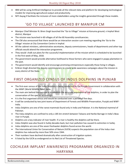- IBM will be using Artificial Intelligence to provide all the relevant data and platform for developing technological models for improving agricultural output and productivity.
- <span id="page-21-0"></span>NITI Aayog ll facilitate the inclusion of more stakeholders using the insights generated through these models.

### 'GO TO VILLAGE' LAUNCHED BY MANIPUR CM

- Manipur Chief Minister N. Biren Singh launched the "Go to Village" mission at Konuma ground, n Imphal West district, Manipur
- The mission was launched in 60 villages of all the 60 Assembly constituencies.
- The CM also announced that there would be an interaction session cum meeting regarding the 'Go to the Village' mission at City Convention Centre in Imphal.
- All the cabinet ministers, administrative secretaries, deputy commissioners, heads of departments and other top officials would attend the interaction programme.
- They would chalk out plans for the successful implementation of the mission which is scheduled to be launched in the first week of May, 2018.
- The government would provide alternative livelihood to those farmers who were engaged in poppy plantation in the past.
- The government would identify and encourage promising entrepreneurs especially those living in villages.
- N Biren Singh directed the deputy commissioners to create wide awareness campaigns about the mission in every district of the State.

### <span id="page-21-1"></span>FIRST ORGANIZED CENSUS OF INDUS DOLPHINS IN PUNJAB

- The first-ever census of the Indus Dolphins is being conducted by the Punjab Government in collaboration with the WWF (World Wildlife Fund) India.
- The main aim behind the exercise is to establish the accurate population of the dolphins, in order to plan the conservation of the species accordingly.
- It is the first organised census and would be conducted over a period of five days.
- It will be conducted by two joint teams of Department of Forests and Wildlife Preservation, Punjab and WWF-India.
- Indus Dolphins are one of the rarest mammals found only in India and Pakistan. It is the National mammal of Pakistan.
- The Indus dolphins are confined to only a 185 km stretch between Talwara and Harike Barrage in India's Beas river in Punjab.
- Dolphins are a key indicator of river health- if a river is healthy the dolphins will be there.
- Indus Dolphin was also found in Sutlej decades back, but river pollution has caused its extinction in Sutlej.
- Indus dolphins are one of the seven freshwater dolphins found across the world.
- The International Union for Conservation of Nature (IUCN) suspects the population size of the Indus river dolphins has reduced by more than 50% since 1944.
- Their numbers have declined dramatically after construction of irrigation system.
- It listed by the IUCN as endangered on its Red List of Threatened Species.

### <span id="page-21-2"></span>COCHLEAR IMPLANT AWARENESS PROGRAMME ORGANIZED IN HARYANA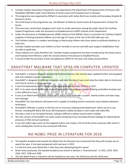- Cochlear Implant Awareness Programme' was organized by the Department of Empowerment of Persons with Disabilities (DEPwD) under Union Ministry of Social Justice and Empowerment in Haryana.
- The programme was organised by DEPwD in association with Indian Red Cross Society and Sarvodaya Hospital & Research Centre.
- The Chief Guest at the programme was the Minister of State for Social Justice & Empowerment, Krishan Pal Gurjar.
- The event was named Swar Swagtam and it aims to create awareness among the public about the Cochlear Implant Programme under the Assistance to Disabled persons (ADIP) scheme of the Department.
- Under the Assistance to Disabled persons (ADIP) scheme of the DEPwD, there is a provision for Cochlear Implant surgeries of hearing impaired children up to the age of 5 years at the cost of Rs 6.00 Lakhs per unit.
- The Cochlear Implant is a modern technology to help young children who have severe to profound deafness in both ears.
- Cochlear Implant provides such children to hear normally in one ear and with post surgical rehabilitation they are able to speak also.
- These implants are costly therefore the Cochlear Implant programme has been introduced by the Social Justice and Empowerment Ministry under the revised scheme of Assistance to Disabled Persons.
- It would enable the purchase of aids and appliances (ADIP) for the poor and needy young children

### <span id="page-22-0"></span>GRAVITYRAT MALWARE THAT SPIES ON COMPUTER, UPDATED

- GravityRAT, a malware allegedly designed by Pakistani hackers, has recently been updated further and equipped with anti-malware evasion capabilities.
- GravityRAT is designed to infiltrate computers and steal the data of users and relay the stolen data to Command and Control centres in other countries.
- It was first detected by Indian Computer Emergency Response Team, CERT-In in 2017.
- RAT' in its name stands for Remote Access Trojan, which is a program capable of being controlled remotely and is thus difficult to trace.
- It acts as an Advanced Persistent Threat (APT), which, once infiltrates a system, silently evolves and does longterm damage.
- GravityRAT has now become self aware and is capable of evading several commonly used malware detection techniques.
- GravityRAT infiltrates a system in the form of an innocuous looking email attachment, which can be in any format, including MS Word, MS Excel, MS Powerpoint, Adobe Acrobat or even audio and video files.
- The data is sent in an encrypted format, making it difficult to detect exactly what is leaked.
- The new version of GravityRAT can check system temperature by recording thermal readings for detecting the presence of VMs (virtual machines).
- <span id="page-22-1"></span> It can also collect open ports on the targeted system and creates a list of all the active processes after which it starts stealing files stored on any connected USB drive.

### NO NOBEL PRIZE IN LITERATURE FOR 2018

- The Swedish Academy that awards the Nobel Prize for literature has announced that they will not give out an award this year. It has been postponed until next year in 2019.
- It is the first time since World War II that they have delayed giving this award.
- Seven times previously, the Swedish Academy has chosen to declare a "reserved prize": in 1915, 1919, 1925, 1926, 1927, 1936 and 1949.
- The two Nobel Prizes in Literature will be handed out next year, the 2018 prize and the 2019 prize.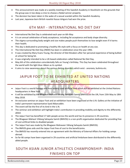- This announcement was made at a weekly meeting of the Swedish Academy in Stockholm on the grounds that the group was in too deep a crisis to choose a Nobel winner properly.
- The decision has been taken in the wake of a sexual scandal within the Swedish Academy.
- <span id="page-23-0"></span>Last year, Japanese-born British novelist Kazuo Ishiguro had won the prize.

### 6TH MAY - INTERNATIONAL NO DIET DAY

- International No Diet Day is celebrated each year on 6th May
- It is an annual celebration of body acceptance, including fat acceptance and body shape diversity.
- The stigma surrounding body weight and size makes people push themselves to lose weight even if it harms their health.
- This day is dedicated to promoting a healthy life style with a focus on health at any size.
- The International No Diet Day (INDD) has been in celebration since the year 1992.
- It was created by Mary Evans Young, the director of Diet Breakers after her personal experience of being bullied at school for being fat.
- It was originally intended to be a UK-based celebration called National No Diet Day.
- May 6th of this celebration coincidentally falls on Young's birthday. This Day has been celebrated throughout the world with the light blue ribbon as its symbol.
- <span id="page-23-1"></span>It aims to raise awareness about the various dieting disorders which exist - anorexia, bulimia etc.

### JAIPUR FOOT TO BE EXHIBITED AT UNITED NATIONS HEADQUARTERS

- Jaipur Foot is a world famous and most widely used artificial limb which will be exhibited at the United Nations headquarters in New York.
- It will be exhibited by the Bhagwan Mahavir Viklang Sahayata Samiti (BMVSS) at the UN, from 15th May to 18th May 2018.
- An exclusive seminar on Jaipur Foot and an exhibition have been organised at the U.N. Gallery at the initiative of India's permanent representative Syed Akbaruddin.
- The event will be the first of its kind in the U.N.
- The seminar and exhibition will highlight India's contribution in providing mobility and dignity to the differently abled.
- The Jaipur Foot has benefited 17 lakh people across the world and has its presence in 29 countries.
- The Bhagwan Mahavir Viklang Sahayata Samiti (BMVSS) is a non-profit organisation dedicated for providing free of cost artificial limbs to disabled people
- The Jaipur Foot was made by the Bhagwan Mahaveer Viklang Sahayata Samiti (BMVSS).
- The BMVSS gives aids and the Jaipur Foot free of cost to the beneficiaries.
- The BMVSS has recently entered into an agreement with the Ministry of External Affairs for holding camps abroad.
- So far 66 camps have been organised in 29 countries and artificial limbshave been distributed to the differently abled people.

### <span id="page-23-2"></span>SOUTH ASIAN JUNIOR ATHLETICS CHAMPIONSHIP: INDIA FINISHES ON TOP

Bankexamstoday.com Page 23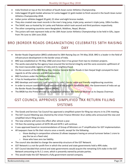- India finished on top at the 3rd edition of South Asian Junior Athletics Championship.
- India bagged 20 gold medals whereas Sri Lanka bagged 12 gold medals to finish second in the South Asian Junior Athletics Championship 2018.
- Indian junior athletes bagged 20 gold, 22 silver and eight bronze medals.
- They also created new meet records in the men's long jump, triple jump, women's triple jump, 100m hurdles.
- The SAJAC was co-hosted by Sri Lanka and Pakistan which took second and third positions respectively.
- The other competing countries were Bangladesh, Maldives, Nepal, Bhutan.
- The juniors will next represent India at the 18th Asian Junior Athletics Championships to be held in Gifu, Japan from 7th June to 10th June 2018.

### <span id="page-24-0"></span>BRO (BORDER ROADS ORGANIZATION) CELEBRATES 58TH RAISING DAY

- Border Roads Organisation (BRO) celebrated its 58th Raising Day on 7th May 2018. BRO is a leader in the field of infrastructure development in the border areas of India.
- BRO was established on 7th May 1960 and since then it has grown from two to nineteen projects.
- The works executed by the agency have ensured the territorial integrity and the socio-economic upliftment of the most inaccessible regions of India and its neighbourhood.
- On the occasion of the BRO Rising Day, Director General Border Roads Lt Gen Harpal Singh conveyed his best regards to all the veterans and BRO personnels.
- BRO functions under the Defence Ministry.
- It has its headquarters in New Delhi.
- BRO develops and maintains road networks in India's border areas and friendly neighbouring countries.
- In order to ensure coordination and execution of the projects handled by BRO, the Government of India set up the Border Roads Development Board (BRDB).
- <span id="page-24-1"></span>The BRDB has the Prime Minister as its Chairman whereas the Defence Minister as its Deputy Chairman.

### GST COUNCIL APPROVES SIMPLIFIED TAX RETURN FILLING **SYSTEMS**

- The Goods and Services Tax Council has approved a simplified system for filing tax returns in its 27th meeting.
- The GST Council Meeting was chaired by the Union Finance Minister Arun Jaitley who announced the new and simplified return filing process.
- The new scheme will come into effect after almost a year.
- Till then the existing system of GSTR-3B and GSTR-1 will continue.
- It was approved based on recommendations of Group of Ministers on IT simplification for GST implementation.
- All taxpayers have to file their returns once a month, except for the following
	- o those dealing in composition schemes (It allows taxpayers having an annual turnover below 1 crore to pay the tax at a fixed rate)
	- o those who have zero tax liability
- The council also decided to change the ownership structure of the GST Network.
- GST Network is a not-for-profit firm in which the central and state governments hold a 49% stake.
- GST Council decided that central and state governments would acquire the remaining 51% stake in the GST Network amounting to Rs 5.1 crore, which is presently owned by private parties.
- This would make the GST Network a fully government-owned company.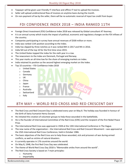- Taxpayer will be given user-friendly IT interface and offline IT tool to upload the invoices.
- Seller will upload unidirectional flow of invoices on anytime basis during the month.
- <span id="page-25-0"></span>On non-payment of tax by the seller, there will be no automatic reversal of input tax credit from buyer.

### FDI CONFIDENCE INDEX 2018 – INDIA RANKED 11TH

- Foreign Direct Investment (FDI) Confidence Index 2018 was released by Global consultant AT Kearney.
- It is an annual survey which tracks the impact of political, economic and regulatory changes on the FDI inflows of the country.
- Companies participating in survey have annual revenues of \$500 million or more.
- India was ranked 11th position according to the Index.
- India has slipped by three notches as it was ranked 8th in 2017 and 9th in 2016.
- India fell out of the top 10 for the first time since 2015.
- The United States topped the index for the sixth year in a row.
- The newcomers to the Index are Denmark, Portugal and Norway.
- This year marks an all-time low for the share of emerging markets on index.
- India retained its position as the second highest emerging market on the Index.
- Top 10 countries FDI Confidence Index 2018
	- o United States
	- o Canada
	- o Germany
	- o UK
	- o China
	- o Japan
	- o France
	- o Australia
	- o Switzerland
	- o Italy

### <span id="page-25-1"></span>8TH MAY – WORLD RED CROSS AND RED CRESCENT DAY

- The Red Cross and Red Crescent Day is celebrated every year on May 8. The holiday was founded in honour of the birth of Swiss humanist Henry Dunant.
- He initiated the creation of volunteer groups to help those wounded in the battlefields.
- He is the founder of International Committee of the Red Cross (ICRC) and the recipient of the first Nobel Peace Prize.
- The International Red Cross was approved in 1928 at the 13th International Conference in The Hague.
- The new name of the organization the International Red Cross and Red Crescent Movement was approved at the 25th International Red Cross Conference, held in October 1986.
- The basic objectives of the Red Cross are to help those wounded, sick and prisoners of war during armed conflicts, as well as victims of natural disasters.
- It currently operates in 176 countries around the world.
- On May 8, 1948, the first Red Cross Day was celebrated.
- The theme of World Red Cross Day 2018 is "Memorable smiles from around the world".
- The Red Cross Society is based on 7 main principles
	- o Humanity
	- o Impartiality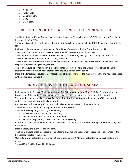- o Neutrality
- o Independence
- o Voluntary Service
- o Unity
- o Universality

### 3RD EDITION OF UNPCAP CONDUCTED IN NEW DELHI

- <span id="page-26-0"></span> The third edition of United Nations Peacekeeping Course for African Partners (UNPCAP) was held in New Delhi from May 7 to 25, 2018.
- The course is conducted by the Centre for United Nations Peacekeeping in India (CUNPK) in partnership with the US.
- It aims to build and enhance the capacity of the African Troop Contributing Countries to the UN.
- The first and second editions of the course were held in New Delhi in 2016 and 2017.
- The inaugural session was chaired by Ruchi Ghanashyam, Secretary (West) in the Ministry of External Affairs.
- The course deals with the concept of training the trainers.
- The students who participated in this two week course included officers who are currently employed in their respective peacekeeping training centres.
- The course would be conducted by experienced instructors from India, the United States as well as alumni instructors from Africa who have attended the previous edition of the course.
- <span id="page-26-1"></span>India is the largest contributor to UN Peacekeeping Missions mandated to maintain stability and negotiate peace settlement across the world.

### INDIA TO HOST 15TH ASIA MEDIA SUMMIT

- India would host 15th Asia Media Summit (AMS-2018) in New Delhi from May 10-12, 2018. Information and Broadcasting Minister Smriti Irani would be the chief guest at the inaugural ceremony of the summit.
- The summit is being organised by Asia-Pacific Institute for Broadcasting Development (AIBD) in collaboration with its partners and international organizations.
- Representatives from nearly 40 countries will delve on issues related to the media sector.
- The theme of this summit is "Telling our Stories Asia and More".
- AMS 2018 will be jointly hosted by the following
	- o Ministry of Information and Broadcasting
	- o Indian Institute of Mass Communication (IIMC)
	- o Broadcast Engineering Consultants India Limited (BECIL)
- It aims to provide a unique opportunity to the broadcasters in Asia to share their thoughts on broadcasting and information.
- India is hosting the event for the first time.
- The Summit would encourage regional and bilateral dialogue and cooperation to respond to challenges to the broadcasting sector in the region.
- Over 200 foreign delegates representing 39 countries and over 100 Indian delegates would participate in the event.
- The AMS 2019 will be hosted by Philippines.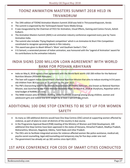### <span id="page-27-0"></span>TOONZ ANIMATION MASTERS SUMMIT 2018 HELD IN TRIVANDRUM

- The 19th edition of TOONZ Animation Masters Summit 2018 was held in Thiruvananthapuram, Kerala
- The summit is organized by the Technopark-based Toonz Media Group.
- It was inaugurated by the Chairman of FICCI for Animation, Visual Effects, Gaming and Comics Forum, Ashish Kulkarni.
- The Animation Masters Summit (AMS) is an animation industry conference organized every year by Toonz Animation India.
- The summit also includes 'Flying Elephant competition' which is an Animation & Short Film Competition constituted to recognize upcoming talents in film industry.
- This award was given to Akash Mihani's 'Mum' and Gautham Sankar's 'Che'.
- V G Samant, a venerated pioneer of Indian animation, was honoured with the 'Legend of Animation' award for his contributions to the animation industry

### <span id="page-27-1"></span>INDIA SIGNS \$200 MILLION LOAN AGREEMENT WITH WORLD BANK FOR POSHAN ABHIYAAN

- India on May 8, 2018 signed a loan agreement with the World Bank worth USD 200 million for the National Nutrition Mission (POSHAN Abhiyaan)
- The loan will support Indian Government's National Nutrition Mission that aims to reduce stunting in 0-6 years old children from 38.4 percent to 25 percent by the year 2022.
- The PM's Overarching Scheme for Holistic Nourishment (POSHAN) Abhiyaan, also known as National Nutrition Mission, was launched by the Prime Minister Narendra Modi on March 8, 2018 at Jhunjhunu, Rajasthan with a total budget of Rs9046.17 crore.
- The NNM mission aims to reduce stunting, under-nutrition, anaemia among young children, women and adolescent girls and reduce low birth weight by at least 2 percent per annum.

### <span id="page-27-2"></span>ADDITIONAL 100 ONE STOP CENTRES TO BE SET UP FOR WOMEN **SAFETY**

- As many as 100 additional districts would have One Stop Centres (OSC) aimed at supporting women affected by violence, as part of plans to cover all districts of the country in due course.
- In the Programme Approval Board (PAB) meeting of the Ministry of Women and Child Development, 100 additional One Stop Centres have been approved in the states of Haryana, Himachal Pradesh, Madhya Pradesh, Maharashtra, Mizoram, Nagaland, Odisha, Tamil Nadu and Uttar Pradesh.
- The OSCs aim to facilitate integrated services for violence-affected women like police assistance, medical aid, psycho-social counselling, legal aid/counselling and temporary stay for five days under one roof.
- The government has already set up 182 centres since April 2015.

### <span id="page-27-3"></span>1ST APEX CONFERENCE FOR CEOS OF SMART CITIES CONDUCTED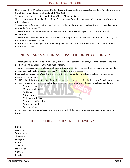- Shri Hardeep Puri, Minister of State (I/C) for Housing & Urban Affairs inaugurated the 'First Apex Conference for the CEOs of Smart Cities ' in Bhopal on 8th May 2018.
- The conference was organized by the Union Urban Affairs Ministry.
- Since its launch on 25 June 2015, the Smart Cities Mission (SCM), has been one of the most transformational urban missions.
- The two-day conference is being organised for providing a platform for cross learning and knowledge sharing among the Smart City CEOs.
- The conference saw participation of representatives from municipal corporation, State and Central Governments.
- The conference will enable the CEOs to learn from the experiences of all city leaders to understand in greater details both successes and failures.
- <span id="page-28-0"></span> It aims to provide a single platform for convergence of all best practices in Smart cities mission to provide momentum to cities.

### INDIA RANKS 4TH IN ASIA PACIFIC ON POWER INDEX

- The inaugural Asia Power index by the Lowy Institute, an Australian think tank, has ranked India at the 4th position among 25 nations in the Asia Pacific region.
- The index measures the overall power of 25 countries and territories across the Asia-Pacific region including nations such as Pakistan, Russia, Australia, New Zealand and the United States.
- India has been pegged as a "giant of the future" but trails behind in indicators of defence networks and economic relationships.
- The US claimed the top spot in five of the eight Index measures and a 10-point lead over China in overall power.
- A country's overall power is its weighted average across eight measures of power which are as follows
	- o Economic resources
	- o Military capability
	- o Resilience
	- o Future trends
	- o Diplomatic influence
	- o Economic relationships
	- o Defence networks
	- o Cultural influence
- According to the Index certain countries are ranked as Middle Powers whereas some are ranked as Minor Powers.

#### THE COUNTRIES RANKED AS MIDDLE POWERS ARE-

- Russia
- Australia
- South Korea
- Singapore
- Malaysia
- Indonesia
- Thailand
- New Zealand
- Vietnam
- Pakistan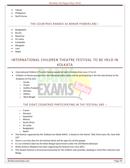- Taiwan
- Philippines
- North Korea

#### THE COUNTRIES RANKED AS MINOR POWERS ARE –

- Bangladesh
- Brunei
- Myanmar
- Sri Lanka
- Cambodia
- Mongolia
- Laos
- Nepal

### <span id="page-29-0"></span>INTERNATIONAL CHILDREN THEATRE FESTIVAL TO BE HELD IN KOLKATA

- International Children's Theatre Festival would be held in Kolkata from June 17 to 21.
- Children of theatre groups from the following Indian states will be participating in the five-day festival at the Academy of Fine Arts
	- o Kerala
	- o Assam
	- o Andhra Pradesh
	- o Manipur
	- o Odisha
	- o West Bengal

#### THE EIGHT COUNTRIES PARTICIPATING IN THE FESTIVAL ARE –

- o France
- o Slovenia
- o Swaziland
- o Mexico
- o South Africa
- o Sri Lanka
- o Bangladesh
- o Nepal
- The festival, organised by the 'Kolkata Eso Natak Shikhi', is based on the theme "Safe Drive Save Life, Save Kids' Life"
- There is no entry fees for the festival which will be open for all the people.
- It is an initiative taken by the West Bengal Government under the CM Mamta Banerjee.
- Shishu Kishore Akademy has been organizing this festival ever since 2011.
- This theatre festival is structured exclusively for the children and juveniles, keeping in mind their interests and likings.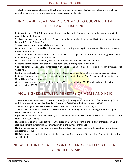<span id="page-30-0"></span> The festival showcases a plethora of films from across the globe under all categories including feature films, animation films, short films and documentaries, educational films etc.

### INDIA AND GUATEMALA SIGN MOU TO COOPERATE IN DIPLOMATIC TRAINING

- India has signed an MoU (Memorandum of Understanding) with Guatemala for expanding cooperation in the area of diplomatic training.
- The MoU was signed between the Vice President of India, M. Venkaiah Naidu and his Guatemalan counterpart Dr. Jafeth Ernesto Cabrera Franco.
- The two leaders participated in bilateral discussions.
- During the discussions, areas like culture diversity, economic growth, agriculture and wildlife protection were under consideration.
- The main focus was on core sectors such as pharmaceutical, cooperation in education, technology, conservation of wildlife, yoga, tourism and automobiles.
- M. Venkaiah Naidu is on a five-day visit to Latin America's Guatemala, Peru and Panama.
- Guatemala is the first country that Vice President Naidu is visiting as the VP of India.
- Vice President M Venkaiah Naidu interacted with people of Indian origin at a reception hosted by ambassador of Guatemala.
- It is the highest level delegation visit from India to Guatemala since diplomatic relationship began in 1972.
- India and Guatemala also agreed to support each other's candidature for Non-Permanent Membership in the United Nations Security Council.
- <span id="page-30-1"></span> Guatemala will support India's candidature for UNSC membership for 2021-22 while India will do so for Guatemala for 2031-32.

### MOU SIGNED BETWEEN MINISTRY OF MSME AND NSIC

- The National Small Industries Corporation Limited (NSIC) has signed a Memorandum of Understanding (MOU) with Ministry of Micro, Small and Medium Enterprises (MSME) for the financial year 2018-19
- The MoU was signed by Ravindra Nath, CMD of NSIC and Dr. A.K. Panda, Secretary, MSME.
- The MoU aims to enhance the services by NSIC under its marketing, financial, technology and other support services schemes, for MSMEs.
- It projects to increase its total business by 21.30 percent from Rs. 22,258 crore in the year 2017-18 to Rs. 27,000 crore in the year 2018-19.
- NSIC also plans to enhance its activities in the areas of imparting training in the fields of entrepreneurship and skill development by targeting 15 percent growth in the number of trainees.
- NSIC will give special focus on modernizing its technical centres in order to strengthen its training and testing services for MSMEs.
- NSIC also projects growth of 15 percent in 'Revenue from Operation' and 22 percent in 'Profitability' during the year 2018-19.

### <span id="page-30-2"></span>INDIA'S 1ST INTEGRATED CONTROL AND COMMAND CENTRE LAUNCHED IN MP

Bankexamstoday.com Page 30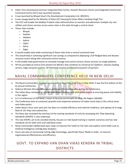- India's first cloud-based Common Integrated Data Centre, Disaster Recovery Centre and Integrated Control and Command Centre (ICCC) was launched recently.
- It was launched by Bhopal Smart City Development Corporation Ltd. (BSCDCL).
- It was inaugurated by the Minister of State (I/C) Housing & Urban Affairs Hardeep Singh Puri.
- The ICCC will enable the Madhya Pradesh state administration to monitor and administer multiple city civic utilities and citizen services across seven cities in the state through a central cloud.
- These cities include
	- o Bhopal
	- o Gwalior
	- o Jabalpur
	- o Indore
	- o Ujjain
	- o Satna
	- o Sagar
- It would enable state-wide monitoring of these cities from a central command view.
- This would help in achieving significant cost savings as compared to deploying a full-fledged data and disaster recovery centre along with command control centres.
- It will enable state government to remotely manage and control various citizen services via single platform.
- HP has provided an end-to-end solution for BSCDCL that combines its Universal IoT platform, industry leading servers, Edge compute systems, HP Pointnext services and broad ecosystem of partners.

### <span id="page-31-0"></span>NAVAL COMMANDERS CONFERENCE HELD IN NEW DELHI

- The Naval Commanders' Conference was held in New Delhi from 8 to 11 May 2018. It was the first edition of this bi-annual Conference.
- Defence Minister Nirmala Sitharaman addressed the Commanders during the Conference.
- The Indian Navy reviewed its new Mission-Based Deployments philosophy aimed at ensuring peace and stability in the region.
- It is in furtherance of PM Modi's vision of Security and Growth for All in the Region (SAGAR).
- The Conference aims at sustained, peaceful and responsive presence of Indian naval ships in the critical areas and choke points.
- Indian Navy's focus over past year has been on combat efficiency and materiel readiness, and upkeep of its large fleet of 131 ships and submarines.
- The Navy also reviewed the overhaul of the training standards of units by revamping the 'Ship Operating Standards (SHOPS)' is also underway.
- The new SHOPS, set to be unveiled shortly, focuses on role-based training in realistic scenarios and has new standards set for both units and individual crews.
- Naval commanders deliberated upon steps to improve the Teeth-to-Tail ratio and explore niche fields such as Artificial Intelligence and Big Data Analytics.
- <span id="page-31-1"></span> Focus was also on harnessing cutting-edge technology, specifically those 'Made-in-India', to improve organisational effectiveness and efficiency.

### GOVT. TO EXPAND VAN DHAN VIKAS KENDRA IN TRIBAL DISTRICTS

Bankexamstoday.com Page 31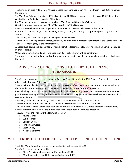- The Ministry of Tribal Affairs (MoTA) has proposed to expand Van Dhan Vikas Kendras in Tribal Districts across the country.
- The Van Dhan Scheme of Ministry of Tribal Affairs and TRIFED was launched recently in April 2018 during the celebrations of Ambedkar Jayanti at Chhattisgarh.
- PM Modi had announced to converge Jan Dhan, Van Dhan and Govardhan Schemes.
- Now it is proposed to expand Van Dhan Vikas Kendras in Tribal Districts.
- Around 3000 such Kendras are proposed to be set up in two years in all forested Tribal Districts.
- It aims to provide skill upgradation, capacity building training and setting up of primary processing and value addition facility.
- The Training and technical support is to be provided by TRIFED.
- The scheme will be implemented through Ministry of Tribal Affairs as Nodal Department at the Central Level and TRIFED as Nodal Agency at the National Level.
- At State level, state nodal agency for MFPs and district collectors will play pivot role in scheme implementation at grassroot level.
- Under Van Dhan scheme, 10 Self Help Groups of 30 Tribal gatherers will be constituted.
- <span id="page-32-0"></span> They would be trained and provided with working capital to add value to the products, which they collect from the jungle.

### ADVISORY COUNCIL CONSTITUTED BY 15TH FINANCE **COMMISSION**

- The Central government has constituted an Advisory Council to advise the 15th Finance Commission on matters related to its Terms of Reference.
- The Council would assist the Commission in the preparation of any paper or research study. It would enhance the Commission's understanding on the issues containing in its ToR (Terms of Reference).
- It will also help commission in broadening its ambit and understanding to seek best national and international practices on matters pertaining to fiscal devolution and improving the quality and reach and enforcement of its recommendations.
- Any change in ToR will be made by Central Government with the assent of the President.
- The recommendations of 15th Finance Commission will come into effect from 1 April 2020.
- The ToR of 15th Finance Commission have drawn protests from many states, especially from southern ones, over its mandate to use 2011 Census data over 1971 Census data for resource allocation.
- The Advisory Council will have the following members
	- o Arvind Virmani
	- o Surjit S. Bhalla
	- o Sanjeev Gupta
	- o Pinaki Chakraborty
	- o Sajjid Chinoy
	- o Neelkanth Mishra

### <span id="page-32-1"></span>WORLD ROBOT CONFERENCE 2018 TO BE CONDUCTED IN BEIJING

- The 2018 World Robot Conference will be held in Beijing from Aug 15 to 19.
- The Conference will be organized by
	- o China Association for Science and Technology (CAST)
	- o Ministry of Industry and Information Technology (MIIT)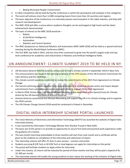- o Beijing Municipal People's Government
- A robot competition will be held during the conference in which the participants will compete in five categories.
- The event will witness more than 12,000 competing teams from more than 10 countries and regions.
- The basic objective of the Conference is to stimulate passion and innovation in the robot industry, and help with research and development
- The WRC 2018 will offer a venue where academic thoughts can be exchanged at high levels and the latest achievements demonstrated.
- The topic of interest at the WRC 2018 would be
	- o Robots
	- o AI (Artificial Intelligence)
	- o Automation
	- o Robotics and Control Systems
- The WRC Symposium on Advanced Robotics and Automation (WRC SARA 2018) will be held as a special technical meeting during the World Robot Conference (WRC).
- The first WRC was held in 2015, and has since then continued to grow into the world's largest-scale and toplevel conference for academics and industrialists in Robotics and Artificial Intelligence fields.

### <span id="page-33-0"></span>UN ANNOUNCEMENT: CLIMATE SUMMIT 2019 TO BE HELD IN NY

- UN Secretary-General Antonio Guterres announced to hold a climate summit in September 2019 in New York.
- The announcement was made at the opening ceremony of the 37th session of the UN Economic Commission for Latin America and the Caribbean.
- This climate summit would be conducted to review the commitments of the 2015 Paris Agreement on Climate Change.
- The Summit will bring people together from around the world to showcase climate action and inspire deeper commitments from national governments, and each other, in support of the Paris Agreement.
- In March 2018, former New York Mayor Michael Bloomberg was appointed as the Special Envoy for Climate Action by the UN Secretary-General Antonio Guterres.
- Antonio Guterres announced that Michael Bloomberg will support the UN in its climate strategy and to organise the 2019 summit.
- <span id="page-33-1"></span>The UN Climate Change Summit 2018 would be conducted in Poland in December.

### DIGITAL INDIA INTERNSHIP SCHEME PORTAL LAUNCHED

- The Union Ministry of Electronics and Information Technology (MeITY) has launched the website of Digital India Internship Scheme.
- It was launched by Information Technology Minister Ravi Shankar Prasad in New Delhi.
- The basic aim of the portal is to provide an opportunity to secure first hand and practical work experience under the guidance of a mentor.
- The two-month internship (extendable to three months) will start from next month and a certificate will be given to the students on completion of the internship and submission of report.
- This internship scheme will offer 25 slots in each session summer and winter.
- Students pursuing B.E/B.Tech or M.E/M.Tech or dual degrees can apply for internships on the portal.
- The portal will facilitate students to apply online for internship.
- Under this scheme, 25 interns will be inducted for period of three months and they will be paid a stipend of Rs. 10, 000 per month.
- The internship scheme will enable the young students to learn about the working of the initiative of Digital India.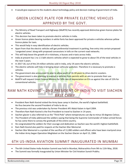<span id="page-34-0"></span>It would give exposure to the students about technology policy and decision making of government of India.

### GREEN LICENCE PLATE FOR PRIVATE ELECTRIC VEHICLES APPROVED BY THE GOVT.

- The Ministry of Road Transport and Highways (MoRTH) has recently approved distinctive green licence plates for electric vehicles.
- This decision has been taken to promote electric vehicles in India.
- Green licence plates bearing numbers in white fonts has been approved for private e-vehicles whereas yellow licence plates for taxis.
- This would help in easy identification of electric vehicles.
- Apart from that the electric vehicles will get preferential treatment in parking, free entry into certain proposed 'congested zones' along with proposed concessions in tolls on the current road networks.
- This will help boost the growth of e-rickshaws, e-busses and e-taxis across India.
- India at present has 1 to 1.5 lakh electric vehicles which is expected to grow to about 5% of the total vehicles in the next 5 years.
- In 2017-18, out of the 24 million vehicles sold in India, only 1% were the electric vehicles.
- The electric vehicles will help in bringing down vehicular pollution. Therefore it is necessary to promote evehicles.
- The government also announced its plan to allow youth of 16-18 years to drive electric scooters.
- The government is also planning to exempt e-vehicles from permits with an aim to promote their use.
- MoRTH will request Union Finance Ministry for 50% rate of depreciation on EVs as against the rate of 15% for conventional vehicles.

### <span id="page-34-1"></span>RAM NATH KOVIND – 2ND PRESIDENT OF INDIA TO VISIT SIACHEN BASE CAMP

- President Ram Nath Kovind visited the Army base camp in Siachen, the world's highest battlefield. He thus became the second President of India to do so.
- The previous visit was undertaken by former President APJ Abdul Kalam in April 2004.
- Therefore Ram Nath Kovind is the first President to travel to Siachen in 14 years.
- Siachen glacier is also referred to as the "Third Pole" where temperatures can dip to minus 50 degrees Celsius.
- The President of India addressed the soldiers saying that being the Supreme Commander of Indian armed forces he has come there to convey the gratitude of the entire country.
- He congratulated the soldiers for their courage and dedication as Siachen was the world's highest battlefield.
- Ram Nath Kovind also paid his respects at the Siachen War Memorial.
- Siachen War Memorial is a symbol of the sacrifice of 11,000 soldiers and officers who have been martyred since the Indian Army began Operation Meghdoot on the Siachen Glacier on April 13, 1984.

### <span id="page-34-2"></span>6TH US-INDIA AVIATION SUMMIT INAUGURATED IN MUMBAI

- The 6th United States-India Aviation Summit was held in Mumbai, Maharashtra from 9th to 11th May, 2018.
- The Summit was formally inaugurated by Union Minister for Civil Aviation Suresh Prabhu.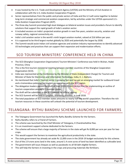- It was hosted by the U.S. Trade and Development Agency (USTDA) and the Ministry of Civil Aviation in collaboration with the U.S.-India Aviation Cooperation Program.
- Senior representatives from the public and private sectors of India and the U.S will come together to bolster long-term strategic and commercial aviation cooperation, led by activities under the USTDA-sponsored U.S.- India Aviation Cooperation Program (ACP).
- The three-day Summit promoted high-level dialogue on bilateral aviation issues and provided a forum to identify solutions that support the rapid growth of India's aviation sector.
- It included sessions on India's projected aviation growth in next five years, aviation security, aviation and runway safety, regional connectivity etc.
- India's civil aviation sector is the world's ninth largest aviation market, valued at \$16 billion per year.
- It is supposed to be third largest market globally by 2020 and potentially the largest by 2030.
- <span id="page-35-0"></span> The Summit would assist Indian civil aviation agencies and aviation industry representatives to identify advanced US technologies and practices that can support their expansion and modernization efforts.

### SCO TOURISM MINISTERS' CONFERENCE HELD IN CHINA

- The SCO (Shanghai Cooperation Organization) Tourism Ministers' Conference was held in Wuhan, Hubei Province, China
- This is the first tourism ministerial meeting between member countries of the Shanghai Cooperation Organization (SCO).
- India was represented at the Conference by the Minister of State (Independent Charge) for Tourism and Minister of State for Electronics and Information Technology, India, K. J. Alphons.
- He mentioned that India's Tourism sector is growing fast and has got an emerging market for outbound travel and a tremendous potential for tourism co-operation with the SCO region.
- The delegation leaders passed the draft of their 2019-20 Joint Action Plan for implementing an outline of tourism cooperation among SCO member states.
- The draft will be submitted to the SCO summit for official signing.
- The SCO Summit will be held in Qingdao, Shandong province, in June 2018.
- The total population of SCO member states amounts to nearly half the world's population. Therefore the rich tourism resources in these countries will unleash the potential of tourism development.

### <span id="page-35-1"></span>TELANGANA: RYTHU BANDHU SCHEME LAUNCHED FOR FARMERS

- The Telangana Government has launched the Rythu Bandhu Scheme for the farmers.
- Rythu Bandhu refers to a Friend of Farmers.
- The scheme was launched by the Chief Minister of Telangana, K Chandrashekhar Rao.
- It is an investment support scheme dedicated to the farmers.
- The scheme will ensure that a large majority of farmers in the state will get Rs 8,000 per acre per year for two crops.
- This would support the farmers to maximise the agricultural productivity in the state.
- The state government has already set aside Rs 12,000 crore in the 2018-19 budget exclusively for this scheme.
- Out of the 2.9 crore acres land in the state, around 1.4 crore acres of land has been identified as cultivable land.
- The government will issue cheques as well as passbooks to all 58 lakh eligible farmers.
- This will help the farmers in investing in the crops and procuring materials like fertilizers.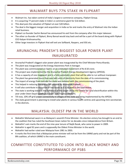#### WALMART BUYS 77% STAKE IN FLIPKART

- Walmart Inc. has taken control of India's largest e-commerce company, Flipkart Group.
- It is acquiring 77 percent stake in India's e-commerce giant for \$16 billion.
- This deal puts the valuation of Flipkart at over \$20 billion.
- The deal is the biggest merger and acquisition in India so far and marks the entry of Walmart into the Indian retail business.
- Flipkart co-founder Sachin Bansal has announced his exit from the company after this major takeover.
- The other co-founder of Flipkart, Binny Bansal would stay back and will be a part of the board along with Flipkart CEO Kalyan Krishnamurthy.
- Other large investors in Flipkart that will exit are Softbank, Naspers, and IDG etc.

## ARUNACHAL PRADESH'S BIGGEST SOLAR POWER PLANT INAUGURATED

- Arunachal Pradesh's biggest solar power plant was inaugurated by the Chief Minister Pema Khandu.
- The plant was inaugurated at the Energy Awareness Park in Itanagar.
- The plant was commissioned on April 1 at an estimated investment of Rs 8.50 crore.
- The project was implemented by the Arunachal Pradesh Energy Development Agency (APEDA).
- It has a capacity of one megawatt and is a fully-automatic plant that will be able to run without manpower.
- The plant has generated more than one lakh units of electricity from the date of its commissioning.
- The import of energy from outside the state was reduced with the commissioning of the plant.
- This helped in reducing the energy bill payable by Arunachal Pradesh.
- It will also contribute in reduction of line losses as it is located in the load centre.
- The state is working towards the fulfilment of the target set by the Centre for rural electrification within this year under Deen Dayal Upadhyaya Gram Jyoti Yojana (DDUGJY).
- Till now, 10% off-grid power connectivity in villages of the state are being implemented by the APEDA.
- The state government is planning to install solar plants in various health centres and upcoming mini-secretariats in the districts.

#### MALAYSIA: OLDEST PM IN THE WORLD

- Mahathir Mohamad sworn in as Malaysia's seventh Prime Minister. His election victory has brought to an end to the coalition that has ruled the Southeast Asian nation for six decades since independence from Britain.
- Mahathir's win marks the end of the nine-year tenure of Najib Razak, who came to power in 2009.
- Mahathir is aged 92 years and is supposedly the Oldest Prime Minister in the world.
- Mahathir had earlier ruled over Malaysia from 1981 to 2003.
- It marks the first time that a Malaysian prime minister will not be from the UMNO party and not be part of the BN coalition, of which UMNO is the main constituent.

### COMMITTEE CONSTITUTED TO LOOK INTO BLACK MONEY AND PERFORMANCE OF PSBS

Bankexamstoday.com Page 36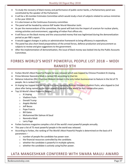- To study the recovery of black money and performance of public sector banks, a Parliamentary panel was constituted by the speaker of the Parliament.
- It will be a 30-member Estimates Committee which would study a host of subjects related to various ministries in the year 2018-19.
- It is also known as the Continuous Economy committee.
- The panel will be headed by veteran BJP leader Murali Manohar Joshi.
- As per the memorandum of the committee, the panel will look into the import of uranium for nuclear plants, mining activities and environment, upgrading of Indian Post offices etc.
- It will focus on the black money and the unaccounted money that was legitimised during the demonetization period as per RBI's report.
- It would suggest changes in policy or administrative framework to bring efficiency in expenditure.
- The panel has also short listed preparedness of the armed forces, defence production and procurement as subjects to review and give suggestions to the government.
- After the implementation of demonetisation, the issue of black money was looked into by the Public Accounts Committee.

### FORBES WORLD'S MOST POWERFUL PEOPLE LIST 2018 – MODI RANKED 9TH

- Forbes World's Most Powerful People list was released which was topped by Chinese President Xi Jinping.
- Prime Minister Narendra Modi is ranked 9th according to that list.
- Reliance Industries (RIL) Chairman Mukesh Ambani is the only Indian businessman to feature in the list of 75 people. He is ranked 32nd.
- Xi Jinping has topped the list for the first time, replacing Russian President Vladimir Putin, who slipped to 2nd place after being named as the most powerful person in the world for four consecutive years.
- Top 10 World's Most Powerful People
	- o Xi Jinping
	- o Vladimir Putin
	- o Donald Trump
	- o Angela Merkel
	- o Jeff Bezos
	- o Pope Francis
	- o Bill Gates
	- o Mohammed Bin Salman Al Saud
	- o Narendra Modi
	- o Larry Page
- Forbes business magazine compiles a list of the world's most powerful people annually.
- This year a list of 75 most powerful people in the world was released.
- According to Forbes, the ranking of The World's Most Powerful People is determined on the basis of 4 parameters –
	- o number of people the candidate has power over.
	- o the financial resources controlled by the candidate.
	- o whether the candidate is powerful in multiple spheres.
	- o whether the candidate is actively using his/her power.

#### LATA MANGESHKAR CONFERRED WITH SWARA MAULI AWARD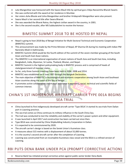- Lata Mangeshkar was honoured with the Swara Mauli title by spiritual guru Vidya Narasimha Bharati Swami.
- She was conferred with the award at her residence in Mumbai.
- Her sisters Asha Bhosle and Usha Mangeshkar and brother Hridaynath Mangeshkar were also present.
- Swara Mauli is her second title after Swara Bharati.
- She was awarded the Bharat Ratna, the highest civilian award in the country, in 2001.
- She is the second vocalist, after MS Subbulakshmi to receive the honour.

#### BIMSTEC SUMMIT 2018 TO BE HOSTED BY NEPAL

- Nepal is going to host 2018 Bay of Bengal Initiative for Multi-Sectoral Technical and Economic Cooperation (BIMSTEC) summit.
- This announcement was made by the Prime Minister of Nepal, KP Sharma Oli during his meeting with Indian PM Narendra Modi in Kathmandu.
- BIMSTEC Summit 2018 would be the fourth edition of the summit of the seven-member grouping of the South Asian and South East Asian nations.
- The BIMSTEC is an international organisation of seven nations of South Asia and South East Asia, including Bangladesh, India, Myanmar, Sri Lanka, Thailand, Bhutan, and Nepal.
- BIMSTEC Summit is the highest policymaking body in BIMSTEC process and is comprised of heads of state/government of member states.
- So far, only three Summit meetings have been held in 2004, 2008 and 2014.
- BIMSTEC was established on 6 June 1997 through the Bangkok Declaration.
- The main objective of BIMSTEC is technological and economic cooperation among South Asian and Southeast Asian countries along the coast of the Bay of Bengal.
- It promotes active collaboration and mutual assistance in economic, social, technical and scientific fields of common interest.

# CHINA'S 1ST INDIGENOUS AIRCRAFT CARRIER TYPE 001A BEGINS

#### SEA TRIAL

- China launched its first indigenously developed aircraft carrier 'Type 001A'.It started its sea trials from Dalian port in Liaoning province.
- The sea trial comes as China continues its military influence in the South China Sea.
- The trail was conducted to test the reliability and stability of the carrier's power system and other equipment.
- It was launched in April 2017 and construction has been carried out since then.
- Type 001A was constructed by China Shipbuilding Industry Corporation in Dalian.
- It is expected to be commissioned by 2020.
- The aircraft carrier's design is based on the Soviet Union's Kuznetsov class.
- It measures about 315 metres with a displacement of about 55,000 tonnes.
- It is the country's second aircraft carrier after the completion of Liaoning.
- Liaoning was constructed from an incomplete Kuznetsov-class vessel and the 001A is a refined version of Liaoning.

#### RBI PUTS DENA BANK UNDER PCA (PROMPT CORRECTIVE ACTION)

Reserve Bank has initiated prompt corrective action against public sector lender Dena Bank.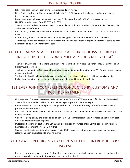- It has restricted the bank from giving fresh credit and new hiring.
- Dena Bank reported a further widening of its loss to Rs 1,225.4 crore in the March-ended quarter due to increasing bad loans.
- Bank's asset quality has worsened with the gross NPAs increasing to 22.4% of the gross advances
- Net NPAs also increased from 10.66% to 11.95%.
- The RBI has initiated similar action against other public sector banks, including IDBI Bank, Indian Overseas Bank and UCO Bank before this.
- RBI had last year also initiated Prompt Corrective Action for Dena Bank and imposed certain restrictions on the bank.
- In April 2017, the RBI had issued a new set of enabling provisions under the revised PCA framework.
- The revised framework comes with a clause that if the bank does not show improvement then it could be either be merged or be taken over by other bank.

### CHIEF OF ARMY STAFF RELEASED A BOOK "ACROSS THE BENCH – INSIGHT INTO THE INDIAN MILITARY JUDICIAL SYSTEM"

- The Chief of Army the Staff, General Bipin Rawat released the book 'Across the Bench Insight into the Indian Military Judicial System'.
- The book is written by Lt Gen Gyan Bhushan, former Army Commander and Member 'A', Armed Forces Tribunal of Lucknow Bench.
- The book deals with military judicial system and management issues within the military establishments.
- It also showcases the issues relating to the veterans, their families and dependents.

### 1ST EVER JOINT CONFERENCE CONDUCTED BY CUSTOMS AND POST DEPARTMENT

- First ever Joint Conference was conducted by the Indian Customs and Department of India Posts in New Delhi.
- The Conference aimed to deliberate on streamlining of imports and exports by post.
- Commissioners of customs and postmaster generals from all states with Foreign Post Offices (FPOs) were present in the Conference.
- It is a move made by the customs department to cater to the small and medium enterprises and boost the Make in India program.
- Customs is also planning the introduction of non-intrusive technologies such as X-ray scanning at foreign post offices to expedite release of goods.
- Imports and exports by post are the 6th highest cited citizen grievances under Centralized Public Grievance Redress and Monitoring System (CPGRAMs).
- Customs and Directorate General of Foreign Trade (DGFT) have worked together since a year to liberalise, reform and align laws relating to imports by Post.

### AUTOMATIC RECURRING PAYMENTS FEATURE INTRODUCED BY PAYTM

 Paytm has introduced a new feature 'automatic recurring payments' which enables the users to configure the payments app to pay for periodic recurring expenses automatically.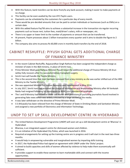- With this feature, bank transfers can be done from/to any bank account, making it easier to make payments at no charge.
- This facility can be even availed by the non-KYC Paytm users.
- Payments can be scheduled by the customers for a particular day of every month.
- These would be pre-decided amounts that can be paid to certain individuals or businesses (such as EMIs) on a certain date.
- With this added feature PayTM aims to achieve a substantial increase in the transaction via regular recurring payments such as house rent, tuition fees, maid/driver's salary, milk or newspaper, etc.
- There is no upper or lower limit to the number of payments or amount that can be transferred.
- At present, Paytm processes about 1 billion transactions every quarter and it aims to double the figure to 2 billion.
- The company also aims to process Rs 60,000 crore in monthly bank transfers by the end of 2018.

## CABINET RESHUFFLE: PIYUSH GOYAL GETS ADDITIONAL CHARGE OF FINANCE MINISTRY

- In the recent Cabinet Reshuffle, Rajyavardhan Singh Rathore has been assigned the independent charge as minister of state in the I&B ministry, in place of Smriti Irani.
- Prime Minister Modi gave Railway Minister Piyush Goyal the additional charge of Finance Ministry till Arun Jaitley fully recovers after his successful kidney transplant surgery.
- Smriti Irani will handle the Textile Ministry.
- This is the second time that Irani has been removed from a key ministry as she was earlier shifted out of the HRD Ministry to the Textile Ministry.
- She was appointed Minister for Human Resource and Development in May 2014.
- In July 2017, Smriti Irani had assumed the charge of Information and Broadcasting Ministry after M Venkaiah Naidu had resigned following his nomination as NDA's vice presidential candidate.
- The I and B Ministry had issued an order last month with provisions of punishing journalists found involved in generating fake news which was widely criticised by a large section of the media.
- It was later withdrawn on the directive of Prime Minister Modi.
- S S Ahluwalia has been relieved from the charge of Minister of State in Drinking Water and Sanitation Ministry and assigned a new portfolio of Electronics and Information Technology.

#### UNDP TO SET UP SKILL DEVELOPMENT CENTRE IN HYDERABAD

- The United Nations Development Programme (UNDP) will soon set up a skill development centre at 'Bharosa' in Hyderabad.
- Bharosa, is an integrated support centre for distressed women and children.
- It is an initiative of the Hyderabad City Police, which was launched in 2016.
- Required arrangements for setting up the training centre are in progress and it will start in the next two-three months.
- It would help in empowering vulnerable and marginalised women by imparting skills training.
- In 2017, the Hyderabad Police had signed an agreement with UNDP under the 'Disha' project.
- It aimed to build capacities and skills of women affected by violence to help make them economically selfsufficient.
- It provides support to enable these women to learn marketable skills and connect with the income opportunities.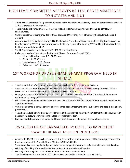### HIGH LEVEL COMMITTEE APPROVES RS 1161 CRORE ASSISTANCE TO 4 STATES AND 1 UT

- A High-Level Committee (HLC), chaired by Union Home Minister Rajnath Singh, approved central assistance of Rs 1,161.17 crores to 4 States and 1 UT.
- These include the states of Assam, Himachal Pradesh, Sikkim and Rajasthan and the union territory of Lakshadweep.
- Central assistance is being provided to these states and UT as they were affected by floods, landslides and drought.
- Assam was affected by floods during 2017-18, Himachal Pradesh and Sikkim were affected by floods as well as landslides during 2017-18, Lakshadweep was affected by cyclone Ockhi during 2017 and Rajasthan was affected by Kharif drought during 2017.
- The HLC approved as the assistance of Rs 480.87 crore for Assam.
- It also approved assistance from the National Disaster Response Force (NDRF)
	- o Himachal Pradesh worth Rs 84.60 crore
	- o Sikkim Rs 67.40 crore
	- o Lakshadweep Rs 2.16 crore
	- o Rajasthan Rs 526.14 crore

### 1ST WORKSHOP OF AYUSHMAN BHARAT PROGRAM HELD IN SHIMLA

- The first workshop of Ayushman Bharat Program was held in Shimla, Himachal Pradesh.
- Ayushman Bharat Northern Region first Workshop on Pradhan Mantri Rashtriya Swasthya Suraksha Mission (PMRSSM) was addressed by the Union Health Minister J P Nadda.
- During the course of this workshop, MoU was signed between Himachal Pradesh, Uttarakhand, Jammu and Kashmir and Chandigarh.
- MoUs were signed between five States and one Union Territory with the National Health Mission to implement 'Ayushman Bharat'.
- 'Ayushman Bharat' is a mega scheme to provide free health treatment up to Rs. 5 lakh to the people living below poverty line.
- The scheme would benefit over 10 crore families of the country and provide free treatment to about 15.31 lakh people living below poverty line in the State of Himachal Pradesh.
- Five such workshops would be conducted throughout the country to launch this ambitious scheme.

### RS 16,500 CRORE EARMARKED BY GOVT. TO IMPLEMENT SWACHH BHARAT MISSION IN 2018-19

- A sum of Rs 16,500 crore has been earmarked by 71 ministries and departments of the central government for implementation of the Swachh Bharat Mission (SBM) in 2018-19.
- The amount is exceeding the budget of ministries in-charge of sanitation in India which include the following-
- Ministry of Drinking Water and Sanitation for Swachh Bharat Mission (Gramin)
- Ministry of Housing and Urban Affairs for Swachh Bharat Mission (Urban)
- The Swachhata Action Plan (SAP) 2018-19 was also launched by Cabinet Secretary PK Sinha.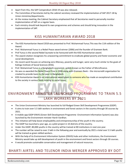- Apart from this, the SAP Compendium 2018-19 was also released.
- The Committee of Secretaries led by the cabinet secretary reviewed the implementation of SAP 2017-18 by Union ministries/departments.
- At the review meeting, the Cabinet Secretary emphasized that all Secretaries need to personally monitor implementation of SAP on a regular basis.
- Each ministry should look beyond its own programmes and schemes and should bring innovation in the implementation of SAP.

#### KISS HUMANITARIAN AWARD 2018

- The KISS Humanitarian Award 2018 was presented to Prof. Muhammad Yunus.This was the 11th edition of the Award.
- Prof. Muhammad Yunus is a Nobel Peace award winner (2006) and the founder of Grameen Bank.
- Prof Yunus is the second Nobel laureate to be honoured with the KISS Humanitarian award.
- The award citation recognizes his unwavering commitment to eradicate global poverty and foster economic and social development.
- His recent work focuses on achieving zero illiteracy, poverty and hunger, were very much similar to the goals of Kalinga Institute of Social Sciences (KISS).
- Prof. Muhammad Yunus is a Bangladeshi economist, widely known as the Father of Microfinance.
- He was co-awarded the Nobel Peace Prize in 2006 along with Grameen Bank the microcredit organisation he created to provide loans to the poor in Bangladesh.
- KISS Humanitarian Award is an international award given to someone who has made an exceptional contribution to the society in various fields relating to social issues.

## ENVIRONMENT MINISTER LAUNCHED PROGRAMME TO TRAIN 5.5 LAKH WORKERS BY 2021

- The Union Environment Ministry has launched its full-fledged Green Skill Development Programme (GSDP).
- It aims to train over 5.5 lakh workers in environment and forest sectors in the country through 30 courses by 2021.
- A mobile app GSDP-ENVIS (Green Skill Development Programme -Environment Information System) was also launched by the Environment minister Harsh Vardhan.
- This initiative will help boost employability and entrepreneurship of the youth in the country.
- The GSDP has launched a year ago, as a pilot project in 10 districts of the country.
- Under the GSDP, 80,000 youths in the country will be trained at 80 institutions in next one year.
- The number will be raised to over 2 lakh in the following year and eventually by 2021 a total over 5.5 lakh youths will be trained as green skilled workers.
- With the help of its Environment Information System (ENVIS) hubs and other institutions, the Environment Ministry would take up skill development of youth in the environment and forest sectors through 30 courses.
- It would promote sustainable conservation and management of natural resources.

#### BHARTI AIRTEL AND TELENOR INDIA MERGER APPROVED BY DOT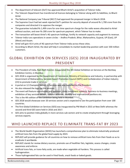- The department of telecom (DoT) has approved Bharti Airtel's acquisition of Telenor India.
- The Telecom Department has transferred all licences belonging to Telenor along with its liabilities, to Bharti Airtel.
- The National Company Law Tribunal (NCLT) had approved the proposed merger in March 2018.
- The Supreme Court had last week rejected DoT's petition for security deposit of around Rs 1,700 crore from the companies and directed it to approve the merger.
- The guarantee included Rs 1,499 crore for one-time spectrum charge for the radio waves allocated to Airtel without auction, and over Rs 200 crore for spectrum payment, which Telenor has to make.
- The transaction will boost Airtel's 4G spectrum holdings, fortify its network capacity and augment its revenue.
- Telenor India runs operations in seven circles -- Andhra Pradesh, Bihar, Maharashtra, Gujarat, UP (East), UP (West) and Assam.
- Airtel will gain 43.4 units of 4G spectrum from Telenor India across these cities.
- According to Bharti Airtel, the deal will help it consolidate its market leadership position with over 330 million customers.

### GLOBAL EXHIBITION ON SERVICES (GES) 2018 INAUGURATED BY PRESIDENT

- The President of India, Ram Nath Kovind, inaugurated the 4th Global Exhibition on Services at the Bombay Exhibition Centre, in Mumbai.
- GES 2018 is organized by the Department of Commerce, Ministry of Commerce and Industry, in partnership with Government of Maharashtra, Services Export Promotion Council (SEPC) and Confederation of Indian Industry (CII) to promote trade in services.
- A portal on 12 Champion Sectors in Services was also launched by the President.
- He also released the logo for the services.
- The event will feature roundtables and seminars, state investment summits, Business-to-business meetings, exhibition of key services sectors, cultural activities, country and international pavilions etc.
- This is the 4th edition of the Exhibition being held in Mumbai.
- GES 2018 would showcase over 20 services sectors and is expected to see the participation from over 100 countries.
- The first Global Exhibition on Services (GES) was inaugurated by PM Modi in 2015 at New Delhi whereas the second and third GES were held in 2016 and 2017.
- GES aims to position India globally in more services sub-sectors and to create employment through leveraging services exports.

### WHO LAUNCHED REPLACE TO ELIMINATE TRANS-FAT BY 2023

- The World Health Organization (WHO) has launched a comprehensive plan to eliminate industrially-produced artificial trans-fats from the global food supply by 2023.
- REPLACE will provide guidance for all countries on how to remove artificial trans-fats from their foods so as to eradicate it worldwide.
- REPLACE stands for review dietary sources, promote use of healthier fats, legislate, assess changes, create awareness and enforce.
- Artificial trans-fats, or trans-fatty acids, are made when vegetable oil hardens. This process is called hydrogenation.
- Those hydrogenated fats can be used in fried foods, snack foods or baked goods.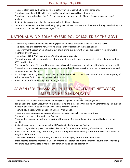- They are often used by the manufacturers as they have a longer shelf life than other fats.
- They have some harmful health effects as they don't spoil as quickly as other fats.
- They lead to raising levels of "bad" LDL cholesterol and increasing risk of heart disease, stroke and type 2 diabetes.
- In South Asian countries, they have a very high risk of heart disease.
- Several high-income countries are already trying to eliminate trans-fat from their foods through laws limiting the amount that can be included in packaged food.

### NATIONAL WIND-SOLAR HYBRID POLICY ISSUED BY THE GOVT.

- The Ministry of New and Renewable Energy (MNRE) unveiled a National Wind-solar Hybrid Policy
- This policy seeks to promote new projects as well as hybridisation of the existing ones.
- The government has set an ambitious target of achieving 175 gigawatt of installed capacity from renewable energy sources by 2022.
- This includes 100 GW of solar and 60 GW of wind power capacity.
- The policy provides for a comprehensive framework to promote large grid-connected wind-solar photovoltaic (PV) hybrid system.
- This would facilitate efficient utilization of transmission infrastructure and help in achieving better grid stability.
- The policy aims to encourage new technologies, methods and ways involving combined operation of wind and solar photovoltaic plants.
- According to the policy, rated power capacity of one resource has to be at least 25% of rated power capacity of other resource for it to be a recognised hybrid project.
- It will be on tariff based transparent bidding process.

## SAWEN (SOUTH ASIA WILDLIFE ENFORCEMENT NETWORK) MEETING HELD IN KOLKATA

- The South Asia Wildlife Enforcement Network (SAWEN) held its first ever meeting in India.
- It organized the Fourth Executive Committee Meeting and a three day Workshop on 'Strengthening Institutional Capacity of SAWEN' in collaboration with the Government of India.
- The two-day meeting was organized in Kolkata, West Bengal.
- The conference witnessed participation from seven out of the eight member countries.
- The conference was not attended by Pakistan.
- The members agreed on having an operational framework for strengthening the regional body to combat wildlife crime.
- India adopted many proposals to curb wildlife crime in the South Asian Region.
- SAWEN is regional inter-governmental wildlife law enforcement support body of South Asian Countries.
- It was launched in January, 2011 in Paro, Bhutan during the second meeting of the South Asia Expert Group on Illegal Wildlife Trade.
- The SAWEN Secretariat was formally established on 20th April, 2011 in Kathmandu, Nepal.
- India became its formal member in 2016 in order to strengthen ties with the member countries in controlling the trans-boundary wildlife crime through communication and co-ordination.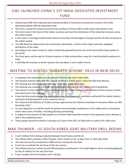#### ICBC LAUNCHED CHINA'S 1ST INDIA-DEDICATED INVESTMENT FUND

- Chinese bank ICBC (The Industrial and Commercial Bank of China) has launched the country's first Indiadedicated publicly offered investment fund.
- The fund is named the Industrial and Commercial Bank of China (ICBC) Credit Suisse India Market Fund.
- The fund invest in the future of the Indian economy and track the distribution of the industrial structure across the Indian market.
- It will invest in exchange-traded funds listed on more than 20 exchanges in Europe and the US that are based on the Indian market.
- The ICBC Bank has listed sectors for investments specifically, in terms of the major industries weighted distribution of the index.
- According to the recent research, Indian market has gradually become one of the best-performing markets in the world.
- This fund opens up the way for Chinese investors in India and provides a way for a low-threshold investment in India.
- It will help the investors to better spread risks and obtain a more stable income.

## MEETING TO DISCUSS 'SAMARTH SCHEME' HELD IN NEW DELHI

- A meeting of the stakeholders on the Samarth Scheme was held in New Delhi.
- The Samarth Scheme deals with the Capacity Building in Textile Sector under the Skill India Mission.
- The meeting was chaired by Union Minister of Textiles, Smriti Zubin Irani.
- The meeting was conducted to make the stakeholders familiar with the scheme and its guidelines.
- The concerns of the stakeholders and challenges faced by them during implementation of the previous scheme were discussed in the meeting.
- It was also discussed amongst the stakeholders how the scheme can contribute and benefit the textile industry and boost skill development in the respective sector.
- The scheme of the Ministry of Textiles and was approved by the Cabinet Committee on Economic Affairs on 20th December 2017.
- Its main objective is to skill the youth for gainful and sustainable employment in the textile sector covering the entire value chain of textiles, excluding spinning and weaving.
- It targets to train around 10 lakh people out of which 9 lakh would be trained in the organized sector whereas 1 lakh in the traditional sector.
- These people would be trained in a duration of 3 years from 2017 to 2020 with an outlay of Rs 1300 crore.

#### MAX THUNDER : US-SOUTH KOREA JOINT MILITARY DRILL BEGINS

- A joint military drill is being conducted between South Korea and the US.
- The military drill is named as 'Max Thunder' which would run for 15 days from 11-25th May 2018.
- This exercise was first conducted in 2009 and has continued since then.
- It aims to co-ordinate the air forces of the two nations.
- The military exercise involves around 100 warplanes including the F-22 stealth fighters which are being deployed by the US military for the very first time.
- It also includes the B-52 bombers and F-15K jets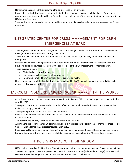- North Korea has accused this military drill to be a practice for an invasion.
- It cancelled the high-level conversations with South Korea that were planned to take place in Pyongyang.
- An announcement was made by North Korea that it was pulling out of the meeting that was scheduled with the US due to this military drill.
- The meeting was scheduled to be conducted in Singapore to discuss about the denuclearization of the Korean peninsula.

### INTEGRATED CENTRE FOR CRISIS MANAGEMENT FOR CBRN EMERGENCIES AT BARC

- The Integrated Centre for Crisis Management (ICCM) was inaugurated by the President Ram Nath Kovind at BARC (Bhabha Atomic Research Centre) in Mumbai.
- The centre will help the nation respond more effectively to chemical, biological, radiological and nuclear emergencies.
- It would will monitor radiological data from a network of around 504 radiation sensors across the country.
- Mr. Kovind also inaugurated three other nuclear facilities of the DEA (Department of Atomic Energy).
- These facilities include
	- o Metal fuel pin fabrication facility
	- o High power electron beam melting furnace
	- o Integrated enriched boron tri-fluoride gas generation facility
- He also launched a multi-leaf collimator system developed by BARC that will enable gamma radiation to be exposed only on cancer-affected organs.

## MERCOM: INDIA 3RD LARGEST SOLAR MARKET IN THE WORLD

- According to a report by the Mercom Communications, India emerged as the third largest solar market in the world in 2017.
- The report, "India Solar Market Leaderboard 2018" covers market share and shipment rankings across the Indian solar supply chain in 2017.
- The top two positions were taken by China and the US.
- India set a new record with 9.6 GW of solar installations in 2017, which was more than double the 4.3 GW installed in 2016.
- This boosted the country's total solar installed capacity to 19.6 GW.
- According to the report, the top 10 solar photovoltaic (PV) project developers in the country accounted for over 62 percent of all large-scale project installations in 2017.
- India has quickly emerged as one of the most important solar markets in the world for suppliers and vendors
- Mercom Communications India is an arm of global clean energy consulting firm Mercom Capital Group.

#### NTPC SIGNS MOU WITH BIHAR GOVT.

- NTPC Limited signed an MoU with the Bihar Government to improve the performance of Power Sector in Bihar.
- The MoU was signed in Patna in presence of the Union Minister of State (Independent Charge) for Power and New & Renewable Energy, R. K. Singh and Chief Minister of Bihar, Nitish Kumar.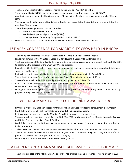- The MoU envisages transfer of Barauni Thermal Power Station (720 MW) to NTPC.
- The deal would raise NTPC's independent coal-based power generation capacity to 43,825 MW.
- An effective date to be notified by Government of Bihar to transfer the three power generation facilities to NTPC.
- This would result in their optimal & efficient utilization and would bring the tariff down, thus benefitting the people of Bihar at large.
- These three power generation facilities include
	- o Barauni Thermal Power Station.
	- o Kanti Bijlee Utpadan Nigam Limited (KBUN)
	- o Nabinagar Power Generating Company (Pvt.) Limited (NPGC)
- NTPC is a Maharatna Company under the Ministry of Power in the Government of India.

#### 1ST APEX CONFERENCE FOR SMART CITY CEOS HELD IN BHOPAL

- The First Apex Conference for CEOs of Smart Cities was held in Bhopal, Madhya Pradesh.
- It was inaugurated by the Minister of State (I/C) for Housing & Urban Affairs, Hardeep Puri.
- The basic objective of the two-day Conference was to emphasize on cross learning amongst the Smart City CEOs to accelerate the progress of the Smart City Mission projects.
- It would enable the CEOs to learn from the experiences of all city leaders to understand in greater details both successes and failures.
- It aims to promote sustainability, innovation and participatory approaches in the Smart Cities.
- This is the first such conference after the launch of Smart Cities Mission on June 25, 2015.
- The conference included exhibition and presentations by the Smart Cities CEOs.
- It also saw participation of representatives from municipal, State and Central Government and various other stakeholders in Smart City Mission.
- During the Conference, Agence Française de Development (AFD) launched their Programme to fund Smart City projects through a challenge process.

#### WILLIAM MARK TULLY TO GET REDINK AWARD 2018

- Sir William Mark Tully has been chosen for this year's RedInk award for lifetime achievement in journalism.
- Mark Tully is a veteran British journalist and former BBC India correspondent.
- RedInk awards are presented by the Mumbai Press Club for excellence in journalism.
- The Award will be presented to Mark Tully on 18th May 2018 by Maharashtra Chief Minister Devendra Fadnavis and Union Commerce Minister Suresh Prabhu.
- Mark Tully is receiving the lifetime achievement award in recognition of his long and outstanding contribution to Indian journalism.
- Tully worked with the BBC for three decades and was the broadcaster's Chief of Bureau for Delhi for 20 years.
- The RedInk awards for excellence in journalism are given in 13 competitive categories to 32 journalists after a process of selection by a jury appointed for each category.
- Mark Tully was also awarded the Padma Shree in the year 1992.

#### ATAL PENSION YOJANA SUBSCRIBER BASE CROSSES 1CR MARK

The subscriber base of the Atal Pension Yojana (APY) had crossed the one-crore mark since its launch in 2015.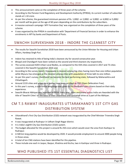- This announcement came on the completion of three years of the scheme.
- According to the Pension Fund Regulatory and Development Authority (PFRDA), its current number of subscriber stands at 1.10 crore.
- As per the scheme, the guaranteed minimum pension of Rs. 1,000/- or 2,000/- or 3,000/- or 4,000/ or 5,000/ per month will be given at the age of 60 years depending on the contributions by the subscribers.
- A massive outreach campaign 'APY Formation Day' was organized on the completion of three years of the scheme.
- It was organized by the PFRDA in coordination with 'Department of Financial Services in order to enhance the enrolments in APY by banks and Department of Posts.

#### SWACHH SURVEKSHAN 2018 - INDORE THE CLEANEST CITY

- The results for Swachh Survekshan 2018 have been announced by the Union Minister for Housing and Urban Affairs, Hardeep Singh Puri.
- Indore has retained its title of being India's cleanest city for second consecutive year.
- Bhopal and Chandigarh have been ranked as the second and third cleanest city respectively.
- The survey assessed 4203 Urban Local Bodies, as compared to the 434 cities covered in 2017 and 73 cities covered in the Swachh Survekshan 2016 and.
- According to the survey report, Vijayawada is cleanest among big cities having more than one million population while Mysuru has emerged as the cleanest among cities with population of three lakh to one million.
- As per this year's survey, Jharkhand has become the best performing state, followed by Maharashtra and Chhattisgarh.
- Around 2133 cities and urban local bodies have been certified as ODF (Open Defecation Free).
- In this year's survey, a substantial weightage was given to the feedback from citizens based on their daily experience.
- Swachh Bharat Abhiyan was launched in 2014. Every year, cities and towns across India are Awarded with the title of 'Swachh Cities' on the basis of their cleanliness and sanitation drive as a part of the Abhiyan.

### CM T.S RAWAT INAUGURATES UTTARAKHAND'S 1ST CITY GAS DISTRIBUTION SYSTEM

- Uttarakhand's first City Gas Distribution (CGD) network was inaugurated by the Chief Minister Trivendra Singh Rawat.
- It was inaugurated at Rudrapur in Udham Singh Nagar district.
- It is India's eighth City Gas Distribution (CGD) system.
- The budget allocated for this project is around Rs 250 crore which would cover the area from Kashipur to Rudrapur.
- A 500 km long pipeline would be developed by 2020. It would provide employment to around 2000 people living in those areas.
- A total of ten CNG stations have been identified for this pipeline.
- These include one each in Jaspur, Bazpur, Khatima and Kiccha, two in Kashipur and three in Rudrapur.

#### WHO PUBLISHED ITS 1ST ESSENTIAL DIAGNOSTICS LIST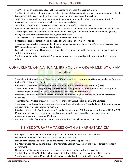- The World Health Organisation (WHO) has published its first Essential Diagnostics List.
- The List aims to address the prevalence of late or incorrect diagnoses and improve treatment outcomes globally.
- Many people fail to get tested for diseases as they cannot access diagnostics services.
- WHO Director-General Tedros Adhanom mentioned that no one should suffer or die because of lack of diagnostic services, or because the right tests were not available.
- With this list, WHO aims to provide a tool which would be useful to all countries.
- It would help in a better diagnosis and treatment and thus result in the more effective use of the health funds.
- According to WHO, an estimated 46 per cent of adults with Type 2 diabetes worldwide were undiagnosed, risking serious health complications and higher health costs.
- This Diagnostics List focusses on in vitro tests i.e. blood and urine tests.
- 58 tests are listed for detection and diagnosis of a wide range of common conditions.
- The remaining 55 tests are designed for the detection, diagnosis and monitoring of 'priority' diseases such as HIV, tuberculosis, malaria, hepatitis B and C etc.
- For each test, the Essential Diagnostics List specifies the type of test and its intended use and health facilities with the laboratories.
- The list would be updated by the WHO on a regular basis and it may add certain new categories in the new edition.

### CONFERENCE ON NATIONAL IPR POLICY – ORGANIZED BY CIPAM – DIPP

- The Cell for IPR Promotion and Management (CIPAM) organized a conference on National Intellectual Property Rights (IPR) Policy in New Delhi.
- CIPAM is a professional body under the Department of Industrial Policy and Promotion (DIPP)
- The National Intellectual Property Rights (IPR) Policy was adopted by the Government of India in May 2016.
- The main objective of the Policy is "IPR Awareness: Outreach and Promotion".
- It aims to raise awareness on IPR for school children to nurture creativity and the ability to innovate from a young age.
- The Intellectual Property mascot 'IP NANI' was launched by Suresh Prabhu during the Conference.
- The mascot would spread awareness about the importance of Intellectual Property Rights (IPRs) among people, especially children, in an interesting manner.
- It is also in line with the World Intellectual Property Organization's (WIPO) campaign for the World IP Day 2018.
- IP Nani represents a tech savvy smart, intelligent grandmother who would help the government and enforcement agencies to combat IP crimes.
- An anti-piracy video featuring Bollywood superstar Amitabh Bachchan was also launched.

#### B S YEDDYURAPPA TAKES OATH AS KARNATAKA CM

- BJP legislature party leader B S Yeddyurappa took oath as the Chief Minister of Karnataka.
- He has been the Chief Minister of Karnataka two time prior to this.
- He was administered the oath of office and secrecy by Governor Vajubhai Vala.
- B S Yeddyurappa has 15 days to prove in the Karnataka Legislative Assembly the required majority to form a government.
- His cabinet will be named only after he proves his strength in a floor test at the assembly.
- The BJP at present has 104 MLAs in the House, eight short of the required majority of 112 members.
- The Congress, which won 78 seats in the elections, has allied with the JD(S), which has 37 seats.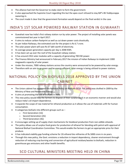- The alliance had met the Governor to stake claim to form the government.
- It also approached the Supreme Court regarding this but the apex court refused to stay BJP's BS Yeddyurappa swearing-in.
- The court made it clear that the government formation would depend on the final verdict in the case.

#### INDIA'S 1ST SOLAR POWERED RAILWAY STATION IN GUWAHATI

- Guwahati now has India's first railway station run by solar power. The project of installing solar panels was commissioned last year in April 2017.
- It aims to reduce carbon-footprint as well as cut down power costs drastically.
- As per Indian Railways, the estimated cost for the project is Rs 6.7 crore.
- The solar power plant will save Rs 67 lakh worth of electricity.
- Its average power generation capacity per day is 2048 KWh.
- It has been set up over the roof of the Guwahati railway station.
- It has around 2352 solar modules with a capacity of generating 700 KW power.
- The Finance Ministry had announced in February 2017 the mission of Indian Railways to implement 1000 megawatts capacity of solar power.
- Under the mission, 7000 railway stations across the country were announced to be powered by solar energy.
- Therefore with an aim to go green and be energy efficient, solar energy is being utilized to power stations.

### NATIONAL POLICY ON BIOFUELS 2018 APPROVED BY THE UNION CABINET

- The Union cabinet has approved the National Policy on Biofuels 2018. The policy was drafted in 2009 by the Ministry of New and Renewable Energy.
- It aims at promoting the use of biofuels in India.
- This new policy would help the farmers to dispose of their surplus stock in an economic manner and would also reduce India's oil-import dependence.
- It expands the scope of raw material for ethanol production as it allows the use of materials unfit for human consumption.
- It categorises biofuels into different groups such as
	- o First Generation (1G)
	- o Second Generation (2G)
	- o Third Generation (3G)
- It encourages setting up of supply chain mechanisms for biodiesel production from non-edible oilseeds.
- The policy allows use of surplus food grains for production of ethanol for blending with petrol with approval of National Biofuel Coordination Committee. This would enable the farmers to get an appropriate price for their produce.
- It has indicated viability gap funding scheme for 2G ethanol bio refineries of Rs.5000 crore in six years.
- Through this new policy, the Govt. envisions a reduction in import dependency, cleaner environment through reduction of reducing crop burning and conversion of agricultural residues/wastes to biofuels, reduction in greenhouse gas emissions and other health benefits.

#### SCO CULTURAL MINISTERS MEETING HELD IN CHINA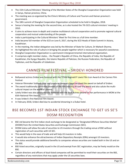- The 15th Cultural Ministers' Meeting of the Member States of the Shanghai Cooperation Organization was held in Sanya, Hainan province, China.
- The meeting was co-organized by the China's Ministry of Culture and Tourism and Hainan province's government.
- The 18th summit of Shanghai Cooperation Organization scheduled to be held in Qingdao, 2018.
- Sanya is hosting the meeting for the second time, as is also hosted the 7th SCO cultural ministers' meeting in 2010.
- It aims to achieve more in-depth and creative multilateral cultural cooperation and to promote regional cultural cooperation and mutual understanding of the people.
- India is participating in the Cultural Ministers' Meet for first time as a full time member.
- India became full member of the SCO on June 9, 2017, during the SCO Heads of State Summit in Astana, Kazakhstan.
- In the meeting, the Indian delegation was led by the Minister of State for Culture, Dr Mahesh Sharma.
- He highlighted the role of culture in bringing the people together which is necessary for peaceful coexistence.
- Shanghai Cooperation Organization is a permanent intergovernmental international organization.
- It comprises eight member states, the People's Republic of China, the Republic of India, the Republic of Kazakhstan, the Kyrgyz Republic, the Islamic Republic of Pakistan, the Russian Federation, the Republic of Tajikistan, and the Republic of Uzbekistan.

### CANNES FILM FESTIVAL – SRIDEVI HONORED

- Bollywood actress Sridevi was honored with the TITAN Reginald F Lewis Film Icon Award at the Cannes Film Festival.
- Veteran filmmaker Subhash Ghai and producer Namrata Goyal received the award on behalf of Sridevi.
- The award traditionally celebrates women of the film industry all over the world and also salute the multicultural impact on the world of cinema.
- Lately Sridevi was also posthumously honored with the Best Actress award for her performance in MOM at the 65th National Film Awards.
- It was Sridevi's first National Film Award.
- In February 2018, Sridevi died due to accidental drowning in a Dubai hotel.

### BSE BECOMES 1ST INDIAN STOCK EXCHANGE TO GET US SE'S DOSM RECOGNITION

- BSE Ltd became the first Indian stock exchange to be designated as 'Designated Offshore Securities Market' (DOSM) from the United States Securities and Exchange Commission (SEC).
- DOSM status will allow the sale of securities to US investors through the trading venue of BSE without registration of such securities with US SEC.
- This would help in the ease of trade and will help US investors in India.
- It would also enhance the attractiveness of Indian Depository Receipts (IDRs) amongst US investors.
- This status would provide additional benefits to companies whose securities are traded both in the US and on the BSE.
- BSE-listed securities, originally issued in the US and exempt from SEC registration, may be freely resold on the BSE.
- Certain directors and officers of dual-listed companies will be permitted to resell their securities on the BSE, regardless of any restrictions that may apply under the US securities laws.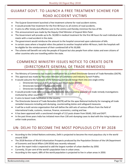### GUJARAT GOVT. TO LAUNCH A FREE TREATMENT SCHEME FOR ROAD ACCIDENT VICTIMS

- The Gujarat Government launched a free treatment scheme for road accident victims.
- It would provide free treatment for the first 48 hours to all victims of road accidents.
- It aims to offer timely and effective care to the victims and thereby minimize the loss of life.
- This announcement was made by the Deputy Chief Minister of Gujarat Nitin Patel.
- The Government will provide up to Rs. 50,000 in medical treatment for the first 48 hours for each individual who meets with a road accident in the state.
- The government would reimburse the amount to the hospital concerned upon submission of bills.
- In certain cases where a hospital refers the patient to another hospital within 48 hours, both the hospitals will be eligible for the reimbursement of their combined bill of Rs 50,000.
- The scheme will benefit not only the people of Gujarat but also people from other states and even citizens of other countries who are travelling within the state.

## COMMERCE MINISTRY ISSUES NOTICE TO CREATE DGTR (DIRECTORATE GENERAL OF TRADE REMEDIES)

- The Ministry of Commerce has issued a notification for a unified Directorate General of Trade Remedies (DGTR).
- This approval was made by the Union Minister of Commerce and Industry Suresh Prabhu.
- It would subsume the functions of the following and would merge them into one single entity
	- o Directorate General of Anti-dumping and Allied duties (DGAD)
		- o Directorate General of Safeguards (DGS)
		- o Directorate General of Foreign Trade (DGFT)
- It would provide trade defence support to domestic industry and to exporters in trade remedy investigations instituted by other countries.
- It aims to boost trade facilitation in the country.
- The Directorate General of Trade Remedies (DGTR) will be the apex National Authority for managing all trade remedial measures including anti-dumping, countervailing duties and safeguard measures.
- It will be a multi service organization that will define the skill-sets of various officers from the field of international trade, customs, revenue, finance, economics, costing and law.
- It has been approved with a sanctioned strength of 112 posts drawn from DGAD, DGS and DGFT.
- In the past three years India has initiated more than 130 anti-dumping cases to deal with the rising incidences of unfair trade practices.

### UN: DELHI TO BECOME THE MOST POPULOUS CITY BY 2028

- According to the United Nations estimates, Delhi is projected to become the most populous city in the world around 2028
- The 2018 Revision of World Urbanization Prospects produced by the Population Division of the UN Department of Economic and Social Affairs (UN DESA) was recently released.
- As per the report India is expected to add the largest number of urban dwellers by 2050.
- Currently, 55 per cent of the world's population lives in urban areas.
- According to the report, 68% of the world population is projected to live in urban areas in 2050.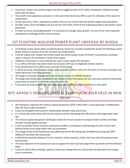- At present, Tokyo is the world's largest city with an agglomeration of 37 million inhabitants, followed by New Delhi with 29 million.
- The world's rural population will peak in a few years then decline by 2050 as per the estimates of the report on urbanization.
- At the same time, India is expected to surpass China as the country with the world's largest total population.
- By 2050, India, China and Nigeria will account for more than a third of the projected growth in the world's urban population.
- In order to ensure sustainable growth, it is necessary to manage urban growth. It is one of the most important development challenges of the current century.

### 1ST FLOATING NUCLEAR POWER PLANT UNVEILED BY RUSSIA

- 1st floating nuclear power plant unveiled by Russia. Russia has recently unveiled the world's first floating nuclear power station in the port of the far northern city of Murmansk.
- It will be loaded with nuclear fuel at Murmansk and will be towed to port of Pevek in autonomous Chukotka region in Russia's far northeast in Arctic Circle region.
- Akademik Lomonosov is constructed by the state nuclear power firm Rosatom.
- It is a 144 by 30 meter ship which holds two reactors with two 35 megawatt nuclear reactors.
- It has displacement of 21,500 tonnes and crew of 69 people.
- It will be primarily used to power oil rigs as Russia pushes further north into the Arctic to drill for oil and gas and needs electricity in far-flung locations
- The barge can produce enough electricity to power a town of 2,00,000 residents.
- The barge had initially been scheduled to be fuelled in Saint Petersburg, but that work was moved to Murmansk instead due to concern in countries along the Baltic Sea.
- It has latest security systems and is considered as one of safest nuclear installations in the world.

#### NITI AAYOG'S VENTURE CAPITAL SYMPOSIUM 2018 HELD IN NEW DELHI

- NITI Aayog has organized the Venture Capital Symposium 2018 in New Delhi. It was organized in collaboration with the Vision India Foundation.
- It aims to strengthen the economic relationships between India and France.
- It is a three-day event where the French investors will be interacting with 100 early to mid-stage Indian startups.
- The Venture Capital Symposium 2018 opens doors for French investors to explore Indian market and Indian startups to attain global outreach.
- It aims to provide French investors and business leaders a conceptual understanding of socio-cultural and political factors that shape Indian start-up ecosystems.
- The inaugural day of the Symposium was addressed by the NITI Aayog CEO Amitabh Kant along with DIPP Additional Secretary Atul Chaturvedi.
- It facilitated interaction between French investors, Indian investors, Indian start-ups and critical government functionaries.
- The basic objective of the Symposium was to support the Start-Up India programme launched by Prime Minister Modi.
- It aims to attract flow of foreign capital to India thus making India the most preferred destination for Foreign Direct Investment.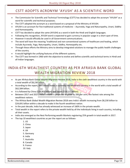#### CSTT ADOPTS ACRONYM 'AYUSH' AS A SCIENTIFIC WORD

- The Commission for Scientific and Technical Terminology (CSTT) has decided to adopt the acronym "AYUSH" as a word for scientific and technical purposes.
- The CSTT adopted the acronym as a word based on a proposal of the Ministry of AYUSH.
- AYUSH is an acronym for five traditional systems of medicine -- Ayurveda, Yoga and Naturopathy, Unani, Siddha and Homoeopathy.
- CSTT has decided to adopt the same (AYUSH) as a word in both the Hindi and English languages.
- Following this recognition, AYUSH word is expected to gain currency in popular usage in a short span of time.
- However it would officially be used in all Government communications.
- The word will have the meaning "traditional and non-conventional systems of healthcare and healing, which include Ayurveda, Yoga, Naturopathy, Unani, Siddha, Homeopathy etc.
- Through these efforts the Ministry aims to develop integrated solutions to manage the public health challenges of the country.
- It would highlight the unifying features of the different systems.
- The CSTT was formed in 1960 with the objective to evolve and define scientific and technical terms in Hindi and all Indian languages.

## INDIA:6TH WEALTHIEST COUNTRY AS PER AFRASIA BANK GLOBAL WEALTH MIGRATION REVIEW 2018

- As per AfrAsia Bank Global Wealth Migration Review 2018, India is the sixth wealthiest country in the world with a total wealth of \$8,230 billion.
- According to the report, the United States is currently the wealthiest country in the world with a total wealth of \$62,584 billion.
- It is followed by China (\$24,803 billion) and Japan (\$19,522 billion).
- Between 2017 and 2027, India's wealth is projected to grow by 200 per cent, the fastest rate among the wealthiest nations.
- The AfrAsia Bank Global Wealth Migration Review 2018 sees India's wealth increasing from \$8,230 billion to \$24,691 billion within a decade to make it the fourth wealthiest nation.
- In the past decade, India has already witnessed an increase of 160% in the private wealth.
- Total wealth in the report refers to the private wealth held by all the individuals living in each country, including all their assets.
- India also emerged as the Nest Performing wealth Markets registering 25% growth in total wealth in 2017.
- The top 10 wealthiest countries as per the report are as follows-
	- 1. US
	- 2. China
	- 3. Japan
	- 4. UK
	- 5. Germany
	- 6. India
	- 7. Australia
	- 8. Canada
	- 9. France
	- 10. Italy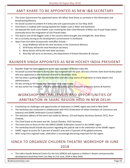#### AMIT KHARE TO BE APPOINTED AS NEW I&B SECRETARY

- The Union Government has appointed senior IAS officer Amit Khare as secretary in the Information and Broadcasting Ministry.
- He would succeed incumbent N K Sinha who will superannuate on 31st May 2018.
- Amit Khare is credited with having exposed the fodder scam in Bihar and Jharkhand.
- He exposed the multi-crore fodder scam involving the then Chief Minister of Bihar Lalu Prasad Yadav which eventually led to the resignation of Lalu Prasad Yadav.
- This lead to one of the biggest raids in the country which brought into limelight Mr. Amit Khare.
- He is currently serving as the development commissioner in Jharkhand.
- Apart from him other bureaucratic reshuffles include
	- 1. Anup Wadhwan will be the new secretary in the Commerce Ministry
	- 2. M M Kutty will be the new Petroleum secretary
	- 3. Binoy Kumar will be the new Steel secretary
	- 4. Rina Ray will serve as Secretary, the Department of School Education & Literacy.

#### RAJINDER SINGH APPOINTED AS NEW HOCKEY INDIA PRESIDENT

- Rajinder Singh has been appointed as the new president of Hockey India (HI).
- He would succeed Mariamma Koshy who has resigned from the post. She was a former state level hockey player who was appointed as the President of the HI in November 2016.
- She has been a guiding light for the Federation and also a big source of inspiration to many players and administrators.
- He was serving as the Senior Vice President of HI prior to this.
- He was earlier the Treasurer of HI and currently serves as the Treasurer of Hockey Jammu & Kashmir.

## WORKSHOP ON CHALLENGES AND OPPORTUNITIES OF ARBITRATION IN SAARC REGION HELD IN NEW DELHI

- A workshop on challenges and opportunities of arbitration in SAARC region was held in New Delhi.
- The workshop was conducted in collaboration with FICCI (Federation of Indian Chambers of Commerce and Industry) and SAARC Arbitration Council (SARCO).
- The welcome address of the event was made by Advisor, ICA and Deputy Secretary General, FICCI, Arun Chawala.
- The Chief Guest at the event was Mr. Suresh Chandra, FICCI Secretary.
- The event aims to focus on the role SARCO (SAARC Arbitration Council in the SAARC region.
- The workshop would include discussions regarding the judicial role in the arbitration of the SAARC region.
- SAARC region accounts for 3 percent of world's area and is 9 percent of the global economy.
- With rising intra-regional trade, arbitration is increasingly becoming important for the region.

#### IGNCA TO ORGANIZE CHILDREN THEATRE WORKSHOP IN JUNE 2018

 The Indira Gandhi National Centre for the Arts (IGNCA) will organize a children's theatre and personality development workshop from 21st May to 21st June, 2018 in New Delhi.

Bankexamstoday.com Page 55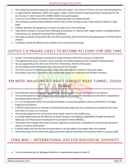- This workshop would be organized n partnership with Udaan the Centre of Theatre Art and Child Development.
- In organizing the workshop, IGNCA will support 'Udaan' which has been organizing theatre workshops for the last 25 years in which more than 25000 children have participated.
- It aims to train children to enhance their fundamental skills and theatrical skills.
- The workshop would be held at Mother Divine Public School and Mount Abu Public School of Rohini in New Delhi.
- Children between the age group 6-14 years can take part in the workshop.
- They will be trained to increase their thinking & mind power, to improve their stage manners including theatre, improvising, etc. along with boosting their confidence.
- Two plays would be conducted at the end of the workshop which will witness the participation of all the trained children.
- Certificates would be offered to the children at the end of the workshop.

#### JUSTICE C K PRASAD LIKELY TO BECOME PCI CHIEF FOR 2ND TIME

- Justice C K Prasad would get a second term as the chairman of the Press Council of India (PCI).
- This approval was given a nod by a three-member committee headed by Vice President Venkaiah Naidu.
- He was appointed as the chairman of the PCI in November, 2014 for three years.
- He succeeded Justice Markanday Katju and became the PCI Chief.
- The Press Council of India is a statutory body which oversees the conduct of the print media.
- According to the Press Council Act, the council shall consist of a chairman and 28 other members.

### PM MODI INAUGURATED ASIA'S LONGEST ROAD TUNNEL: ZOJILA TUNNEL

- Prime Minister Narendra Modi inaugurated the Zojila Tunnel in Jammu and Kashmir's Leh district.
- This tunnel would be India's longest and Asia's longest and strategic bi-directional tunnel which is expected to be finished within five years.
- It is a 14.2 long tunnel which will provide all-weather connectivity between Jammu and Kashmir's Srinagar, Kargil and Leh districts.
- It will be constructed at an altitude of 3,528 metres high Zojila pass and is expected to bring down the travel time from 3.5 hours to 15 minutes.
- The overall budget for the construction of the Zojila Tunnel is of Rs 6,809 crore.
- It is being implemented by the Ministry of Road Transport and Highways (MoRT&H) through the National Highways and Infrastructure Development Corporation Limited (NHIDCL).
- The project has strategic and socio-economic importance and it aims to develop the economically backward districts in Jammu and Kashmir.
- It would make sure that the land transportation is not disrupted in the region after the snowfall.
- The construction of the tunnel was approved by the Cabinet Committee on Economic Affairs in January 2018.

#### 22ND MAY – INTERNATIONAL DAY FOR BIOLOGICAL DIVERSITY

The International Day for Biological Diversity is celebrated annually on May 22.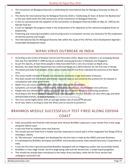- The Convention on Biological Diversity is celebrating the International Day for Biological Diversity on May 22, 2018.
- The theme for International Day for Biological Diversity 2018 is "Celebrating 25 Years of Action for Biodiversity" as the year 2018 marks the 25th anniversary of the Convention on Biological Diversity.
- It aims to commemorate the adoption of the Convention on Biological Diversity (CBD) on May 22, 1992 by the Nairobi Final Act.
- It aims to highlight the progress made in the achievement of its objectives at the national and global levels on biodiversity.
- Protecting and restoring ecosystems and ensuring access to ecosystem services are necessary for the eradication of extreme poverty and hunger.
- The International Day for Biological Diversity falls within the scope of the UN Post-2015 Development Agenda's Sustainable Development Goals.

#### NIPAH VIRUS OUTBREAK IN INDIA

- According to the Centre of Disease Control and Prevention (CDC), Nipah virus infection is an emerging disease that was first identified in 1999 during an outbreak among pig farmers in Malaysia and Singapore.
- As per the reports, at least three people in India have died from a rare virus known as Nipah virus.
- Recently, the state Health Department has confirmed Nipah virus (NiV) infection for the first time in Kerala.
- The blood and body fluid samples of two persons who died of viral fever indicated the presence of the Nipah virus.
- The Union health minister JP Nadda has directed to constitute a high-level team of doctors.
- This team would visit the district and initiate required steps as warranted by the protocol for the disease in consultation with state government.
- Nipah virus can cause an inflammation of the brain known as encephalitis.
- Symptoms can include fever and headache, followed by drowsiness, disorientation and confusion.
- People who are infected with the virus may fall into a coma within 48 hours of showing symptoms.
- According to the World Health Organization, it naturally infects the fruit bats but can also infect pigs and other domesticated animals, as well as humans.
- The virus can be highly lethal, with an average fatality rate of around 75 percent.
- As of now, there is no drug to treat the illness and no vaccine to prevent it.

### BRAHMOS MISSILE SUCCESSFULLY TEST FIRED ALONG ODISHA COAST

- India successfully test-fired the Indo-Russian joint venture BrahMos supersonic cruise missile from a test range along the Odisha coast.
- It was test-fired to validate some new features.
- The missile was test-fired from a mobile launcher stationed at Launch pad 3 of the Integrated Test Range (ITR) at Chandipur, Odisha.
- Its "life extension" technologies are developed for the first time in India by the DRDO and team BraHmos.
- It is developed by BrahMos Aerospace and DRDO, and manufactured by state-owned Electronics Corporation of India.
- It was the first time a ground-launched BrahMos equipped with an indigenous seeker was successfully tested.
- BrahMos is a two-stage missile, the first stage being solid and the second one, a ramjet liquid propellant.
- This missile has already been introduced in the Indian Army and Navy, while the Air Force version had undergone successful trial.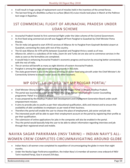- It will result in huge savings of replacement cost of missiles held in the inventory of the armed forces.
- The last test firing of a BrahMos surface-to-surface (Block III) cruise missile took place in March at the Pokhran test range in Rajasthan.

### 1ST COMMERCIAL FLIGHT OF ARUNACHAL PRADESH UNDER UDAN SCHEME

- Arunachal Pradesh hosted its first commercial flight under the Udan scheme of the Central Government.
- Its first fixed-wing commercial aircraft was flagged off from Pasighat to Guwahati by Chief Minister Pema Khandu.
- The Air India Ltd agreed to start ATR-42 services of Alliance Air to Pasighat from Gopinath Bordoloi airport at Guwahati, connecting the state with rest of the country.
- The 42-seat Alliance Air ATR will fly between Guwahati and Pasighat thrice a week as of now.
- Alliance Air, which is a subsidiary of Air India, Zoom Air and Turbo Jet are also set to commence services in the state as soon as the formalities are completed.
- It would help in enhancing Arunachal Pradesh's economic progress and tourism by ensuring better connectivity with the rest of India.
- The air service will benefit as many as eight districts of eastern Arunachal Pradesh.
- Pasighat is among the eight advanced landing grounds in the state.
- The state government is also in the process of hiring 10-seater fixed wing aircraft under the Chief Minister's Air Connectivity Scheme to ensure easier access to other locations.

#### MP GOVT. LAUNCHED 'MY MP ROJGAR PORTAL'

- Chief Minister Shivraj Singh Chouhan launched 'My MP Rojgar Portal' in Bhopal, Madhya Pradesh.
- The portal was launched as a part of the 'Ham Chhu Lenge Asman' Mukhyamantri Career Counselling programme 'Pahal' in a school in Bhopal.
- It was prepared by the Madhya Pradesh Skill Development and Employment Generation Board under youth empowerment mission.
- It aims to provide jobs to youths as per their educational qualification, skills and interest and to ensure the availability of able candidates to employers as per need of their business.
- Therefore the portal will enable the user to choose the place of employment, job sector and job role.
- The interested youth will be able to open their employment account on the portal by registering their profile as per their qualification.
- The submission of online applications for jobs in the companies will also be enabled in the portal.
- Thus the portal would basically help the user to be able to obtain information regarding interview and job through their registered email and mobile.

### NAVIKA SAGAR PARIKRAMA (INSV TARINI) – INDIAN NAVY'S ALL-WOMEN CREW COMPLETES CIRCUMNAVIGATING AROUND GLOBE

- Indian Navy's all-women crew completed its expedition of circumnavigating the globe in more than eight months.
- Under the Navika Sagar Parikrama expedition, the Indian Navy's 6-member all-women crew onboard of INSV Tarini reached Panaji, Goa in around 254 days.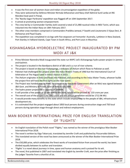- It was the first ever all women Asian and Indian circumnavigation expedition of the globe.
- They were welcomed by Defence Minister Nirmala Sitharaman and Navy chief Admiral Sunil Lanba at INS Mandovi boat pool in Panaji.
- The 'Navika Sagar Parikrama' expedition was flagged off on 10th September 2017.
- It aimed at promoting women empowerment.
- The crew led by Lt Commander Vartika Joshi covered a total of 21,980 nautical miles in INSV Tarini, which was inducted into the Indian Navy on 18th February 2017.
- The other crew members comprised Lt Commanders Pratibha Jamwal, P Swathi and Lieutenants S Vijaya Devi, B Aishwarya and Payal Gupta.
- The expedition was completed in six legs with five stopovers at Fremantle I Australia, Lyttleton in New Zealand, Port Stanley in Falkland Islands, Cape Town in South Africa, and Port Louis in Mauritius

### KISHANGANGA HYDROELECTRIC PROJECT INAUGURATED BY PM MODI AT J&K

- Prime Minister Narendra Modi inaugurated the state run NHPC Ltd's Kishanganga hydro power project in Jammu and Kashmir.
- The project is located in the Bandipora district of J&K and is a run of river scheme.
- The project is based on the river Kishanganga, a tributary of Jhelum which flows to Pakistan as well.
- Pakistan had challenged the project under the Indus Waters Treaty of 1960 but the International Court of Arbitration at The Hague ruled in India's favour in 2013.
- The Jhelum originates in India and flows into Pakistan, and according to the Indus Water Treaty, whoever builds the project first will have the first rights on the river water.
- The Project was handed over to NHPC for execution by the State Government after an MoU was signed between J&K Govt. and Ministry of Power, Govt of India in July 2000.
- The hydro power project has a capacity of 330MW.
- It will provide a free power of 13 per cent to the state, which will be around Rs. 133 crore per year.
- The overall cost of the project is Rs 5882 crore and the annual generation would be 1712.96 MU.
- It would provide many benefits to the state which include employment to the people of J&K, infrastructure development etc.
- It is estimated that the project engaged about 1850 local persons during construction stage and 750 local persons during operation stage through direct and indirect employment.

### MAN BOOKER INTERNATIONAL PRIZE FOR ENGLISH TRANSLATION OF 'FLIGHTS'

- An English translation of the Polish novel "Flights," was named as the winner of the prestigious Man Booker International Prize 2018.
- The novel is written by Olga Tokarczuk, translated by Jennifer Croft and published by Fitzcarraldo Editions.
- This translated version of the novel has been announced as the winner of the Man Booker International Prize 2018.
- The £50,000 prize, which celebrates the finest works of translated fiction from around the world, has been divided equally between its author and translator.
- 'Flights' is a novel about journeys in time, space and human anatomy and is praised for its wit.
- The novel, first published in 2007 and translated into English by Jennifer Croft, won the prize after finishing as the judges' favorite from a shortlist of six.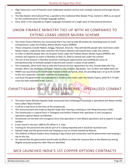- Olga Tokarczuk is one of Poland's most celebrated novelists and has won multiple national and foreign literary prizes,
- The Man Booker International Prize, a parallel to the traditional Man Booker Prize, started in 2005 as an award for the combined works of foreign-language authors.
- Since 2016, it has rewarded an English-language translation of a single work of international literature.

## UNION FINANCE MINISTRY TIES UP WITH 40 COMPANIES TO EXTEND LOANS UNDER MUDRA SCHEME

- The Union Finance Ministry has announced that it has tied up with 40 entities for extending loans to small entrepreneurs under the Pradhan Mantri Mudra Yojana (PMMY).
- These companies include Flipkart, Swiggy, Patanjali, Amul etc. They will identify people who need loans under Mudra Yojana, underwrite them and then the Finance Ministry will extend loans under the scheme.
- In order to identify people who can be given funds under the Pradhan Mantri Mudra Yojana (PMMY), the ministry will organize an event in Mumbai on May 23, 2018 to extend loan under the scheme.
- The aim of the Seminar in Mumbai would be creating job opportunities and instilling the sense of entrepreneurship, to facilitate people to become job creators in place of job seekers.
- The companies, which have tied up with the financial services department for this, include Make My Trip, Zomato, Meru Cab, Muthoot, Edelweiss, Amazon, Ola, Amazon, Big Basket, Carz on Rent and Habib Salon etc.
- PMMY was launched by Prime Minister Narendra Modi on April 8, 2015, for providing loans of up to Rs 10 lakh to the non-corporate, non-farm small/micro enterprises.
- Last fiscal the government has extended Rs 2.53 lakh crore credit under the Mudra Yojana, while Rs 5.73 lakh crore has been extended in last 3 years.

### CHHATTISGARH TO GET 'BLACK PANTHER'- SPECIALIZED COMBAT UNIT

- The Union Home Minister Rajnath Singh announced that Chhattisgarh would get a specialized anti-Naxal combat force called "Black Panther".
- It will be a new force on the lines of the Greyhounds.
- This announcement was made by Rajnath Singh after chairing a meeting on Left-Wing Extremism (LWE).
- The Greyhounds is a special force in Telangana and Andhra Pradesh that specializes in anti-insurgency operations against Naxals and Maoists.
- Greyhounds are the best anti-insurgency force that specializes in anti-Maoist operations and as experts in jungle warfare.
- It was raised in the year 1989 by IPS officer K. S. Vyas.
- Training for the personnel who will be part of it is being imparted and it would be launched soon.
- Rajnath Singh said the government was keeping an eye on money stashed by Maoists.
- The children of Maoist leaders were studying in big schools and universities and the government was keeping a tab on this too.
- He claimed that the government would make all efforts to choke the resource flow to the Maoists by seizing illegally amassed properties after they are identified

#### MCX LAUNCHED INDIA'S 1ST COPPER OPTIONS CONTRACTS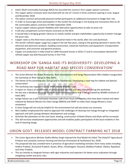- India's Multi Commodity Exchange (MCX) has launched the country's first copper options contracts.
- The copper option contracts were launched with lot size of 1 tonne in three contracts expiring in June, August and November 2018.
- The option contract will provide physical market participants an additional instrument to hedge their risk.
- In order to encourage active participation in the market the exchange is not levying any transaction fees on all the commodity options contracts till 30th September 2018.
- It gives copper industry greater flexibility with alternative opportunities to take on price risk.
- It will also complement current futures contracts on the MCX.
- It would help in bringing greater vibrancy to metals market and give stakeholders opportunity to better manage the price risks.
- Copper ranks as the third-most-consumed industrial metal in the world, after iron and aluminium.
- The world's refined copper usage has surged in the last few years, owing to the growing demand in sectors like electrical and electronic products, building construction, industrial machinery and equipment, transportation equipment, and consumer and general products.
- Copper ore production in India stood at 3,846 thousand tonnes in 2016-17 and its consumption demand for refined copper was 820 thousand tonnes in the FY16.

## WORKSHOP ON 'GANGA AND ITS BIODIVERSITY: DEVELOPING A ROAD MAP FOR HABITAT AND SPECIES CONSERVATION'

- The Union Minister for Water Resources, River Development and Ganga Rejuvenation Nitin Gadkari inaugurated the workshop on River Ganga in New Delhi.
- The theme of the workshop was 'Ganga and its biodiversity: Developing a road map for habitat and Species conservation'.
- The workshop was organized by the WWF (World Wildlife Fund).
- A report on 'Status of conservation of select aquatic species' was also released during the workshop.
- He also was a database of Ganga Praharis, a self-motivated cadre that is being created by Wildlife Institute of India (WII).
- Ganga Paharis are a self motivated volunteer cadre from local communities who have been trained and taken onboard by National Mission for Clean Ganga (NMCG) and WWF to make Clean Ganga Mission a mass movement.
- A clean Ganga will not only be helpful for the environment but will also boost our economy.
- Nitin Gadkari emphasized the need to approach the challenges of cleaning river Ganga through an integrated approach and with synergy between development and ecology.
- Activities like plantation on the river bank, boating, construction of Mukti Dhams and Ghats will be increased.
- This will increase employment opportunities and will mobilize public participation of the local residents in the task of cleaning Ganga.

### UNION GOVT. RELEASES MODEL CONTRACT FARMING ACT 2018

- The Union Agriculture Minister Radha Mohan Singh released the final Model Act titled 'The State/UT Agricultural Produce and Livestock Contract Farming and Services (Promotion & Facilitation) Act, 2018'.
- The proposed law was unveiled here in presence of agriculture marketing ministers from many states including Andhra Pradesh, Arunachal Pradesh, Assam, Bihar, Chhattisgarh, Haryana, Madhya Pradesh, Odisha, Rajasthan and Uttar Pradesh.
- This act intends to integrate farmers with agro-industries and exporters for better price realization through mitigating market and price risks.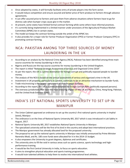- Once adopted by states, it will formally facilitate entry of private players into the farm sector.
- It would induce competition and ensure assured and better price of farm produce to farmers through advance agreements.
- It can offer assured price to farmers and save them from adverse situations where farmers have to go for distress sale when bumper crops cause glut in the market.
- At present, some states have limited formal contract farming while some others have informal practices.
- It's currently being implemented in a limited manner under provisions of the Agricultural Produce Market Committee (APMC) Act in certain states.
- The model act keeps the contract farming outside the ambit of the APMC Act.
- It also provides for a major role for Farmer Producer Organization (FPO) or Farmer Producer Company (FPC) in promoting contract farming.

### NCA: PAKISTAN AMONG TOP THREE SOURCES OF MONEY LAUNDERING IN THE UK

- According to an analysis by the National Crime Agency (NCA), Pakistan has been identified among three main source countries for money laundering in the UK.
- Nigeria and Russia are the top source countries for money laundering in the United Kingdom.
- The report is titled "National Strategic Assessment of Serious and Organized Crime 2018".
- As per the report, the UK is a prime destination for foreign corrupt and politically exposed people to launder money.
- The analysis of the NCA is based on the annual assessment of serious and organized crime in the UK.
- Investment in UK property, particularly in London, continues to be an attractive mechanism to launder funds.
- Trade miscinvoicing is the largest component of illicit financial outflows.
- According to the report, the UK is a prime destination for foreign corrupt PEPs (politically exposed persons).
- The overseas jurisdictions that have the most enduring impact on the UK are Russia, China, Hong Kong, Pakistan, and the United Arab Emirates (UAE)

#### INDIA'S 1ST NATIONAL SPORTS UNIVERSITY TO SET UP IN MANIPUR

- The Union Cabinet approved an ordinance to set up the country's first national sports university in Imphal (west), Manipur.
- The ordinance is on the lines of National Sports University Bill, 2017 which is was introduced in Lok Sabha in August, 2017.
- National Sports University Bill, 2017 establishes National Sports University in Manipur.
- The specialized university will be the first of its kind in the country and adopt best international practices.
- The Manipur government has already allocated land for the proposed university.
- The proposal to set up the national sports university in Manipur was initially announced by Prime Minister Narendra Modi, and Rs. 100 crore funds were allocated for it in the 2014-15 budget.
- It also empowers the University to grant degrees, diplomas and certificates.
- The university aims to fill the void in various areas such as sports science, sports technology and highperformance training.
- It would be the first Central University in India, to focus on sports education.
- It aims to strengthen physical education and sports training programmes.
- It would train talented athletes to help them to evolve into international level athletes.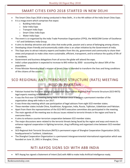### SMART CITIES EXPO 2018 STARTED IN NEW DELHI

- The Smart Cities Expo 2018 is being conducted in New Delhi., It is the 4th edition of the India Smart Cities Expo.
- It is a mega event which comprises five expos
	- o Building India Expo
	- o Solar India Expo
	- o Transport India Expo
	- o Smart Cities India Expo
	- o Water India Expo
- The event is co-organized by the India Trade Promotion Organization (ITPO), the NASSCOM Center of Excellence – IoT and Exhibitions India Group.
- It aims to develop attractive and safe cities that evoke pride, passion and a sense of belonging among citizens.
- Developing citizen friendly and economically viable cities is an urban initiative by the Government of India.
- This Expo aims to attract industry experts and leaders from the city, government and community to share their views and proposals to make cities more sustainable, efficient, transparent, and to enhance the quality of life of its residents.
- Government and business delegations from all across the globe will attend the expo.
- India's urban population is expected to increase to 843 million by 2050 accounting for about 50% of the population.
- Prime Minister Narendra Modi's mission of Smart Cities is intended to transform the lives and living conditions of the citizens of the country.

### SCO REGIONAL ANTI-TERRORIST STRUCTURE (RATS) MEETING HELD IN PAKISTAN

- Pakistan hosted the first ever Shanghai Cooperation Organization-Regional Anti-Terrorist Structure (SCO-RATS) legal experts meeting in Islamabad.
- It was the first-ever SCO meeting being held in Pakistan since it became a permanent member of the organization along with India in Jun 2017.
- It was three-day meeting which saw participation of legal advisors from eight SCO member states.
- These member states include China, Kazakhstan, Kyrgyzstan, India, Russia, Tajikistan, Uzbekistan and Pakistan.
- Apart from them the representatives of the SCO-RATS executive committee also participated in the meeting.
- The main agenda of the meeting was to discuss issues related to terrorist threats in the region and how to overcome them.
- It aims to enhance counter-terrorism cooperation between SCO member states.
- The major discussions were related to the terrorist threats being faced by the region and ways and means to enhance regional cooperation in fighting terrorism, drug trafficking and organized crime between SCO member states.
- SCO-Regional Anti-Terrorist Structure (RATS) is permanent organ of Shanghai Cooperation Organization (SCO), headquartered in Tashkent, Uzbekistan.
- The Shanghai Cooperation Organization is a permanent intergovernmental international organization which was founded on June 15, 2001 in Shanghai, China.

#### NITI AAYOG SIGNS SOI WITH ABB INDIA

NITI Aayog has signed a Statement of Intent (SoI) with ABB to make India Artificial Intelligence ready.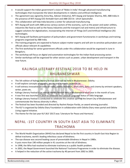- It would support the Indian government's vision of 'Make in India' through advanced manufacturing technologies that incorporate the latest developments in robotics and artificial intelligence.
- The agreement was signed by Anna Roy, Adviser (Industry), NITI Aayog and Sanjeev Sharma, MD, ABB India in the presence of NITI Aayog CEO Amitabh Kant and ABB CEO Dr. Ulrich Spiesshofer.
- This collaboration will help India become a center for advanced manufacturing.
- NITI Aayog will work with ABB across various sectors of the economy, such as the power and water utilities, industries like food as well as the heavy industries and the transport (rail and metro) and infrastructure to suggest solutions for digitalization, incorporating the Internet of Things (IoT) and Artificial Intelligence (AI) technologies.
- NITI Aayog will facilitate participation of policymakers and government functionaries in workshops and training programs organized by ABB India.
- The training programs are expected to feature subject matter experts and will aim to sensitize policymakers and officials about relevant AI capabilities
- The first workshop for senior government officials under this collaboration would be organized in June in Bengaluru.
- The workshop will focus on digital and automation technologies for the Indian food processing sector.
- Similar workshops will be organized for other sectors such as power, urban development and transport in the near future.

### KALINGA LITERARY FESTIVAL 2018 TO BE HELD IN BHUBANESHWAR

- The 5th edition of Kalinga literary festival 2018 will be held in Bhubaneswar, Odisha.
- It will explore concepts of equality, equity and humanity in literature.
- It will witness innovative sessions on radio, poetry recitation, short story, lyrics and cinema by eminent speakers, writer, poets etc.
- Kalinga Literary Festival is an annual literary festival held in Bhubaneswar each year in the month of June.
- It was first was launched in 2014 to celebrate the Classical Language Status of Odia language.
- Kalinga Literary Festival is conducted to celebrate this creative spirit of the Smart City of Bhubaneswar and commemorate the literary diversity it offers.
- The festival has been founded and directed by Rashmi Ranjan Parida, an award winning journalist.
- The KLF is organized by Odisha Diary Foundation in collaboration with Odisha Diary news-portal and Odisha Living Legend Initiative.
- The theme for the last year KLF (KLF 2017) was 'Literature for Peace and Harmony'.

### NEPAL -1ST COUNTRY IN SOUTH EAST ASIA TO ELIMINATE TRACHOMA

- The World Health Organization (WHO) has declared Nepal to be the first country in South-East Asia Region to defeat trachoma, world's leading infectious cause of blindness.
- The eye disease was second leading cause of preventable blindness in Nepal in 1980s.
- It puts more than 190 million people in 41 countries at the risk of blindness.
- In 1998, the Who had resolved to eliminate trachoma as a public health problem.
- In 2002, the Nepal Government launched the National Trachoma Programme in order to eliminate the disease.
- It helped in the reduction of the active trachoma by 40 percent from 2002 to 2005.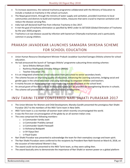- To increase awareness, the national trachoma programme collaborated with the Ministry of Education to include a module on trachoma in the school curriculum.
- The Nepal government, through the ministry of water supply and sanitation, provided incentives to local communities and districts to build and maintain toilets, measures that were crucial to improve sanitation and reduce the disease carrying flies.
- India had self-declared itself free from infective Trachoma in Dec 2017.
- It met the goal of trachoma elimination as specified by WHO under its GET2020 (Global Elimination of Trachoma by the year 2020) program.
- Trachoma is an eye disease caused by infection with bacterium Chlamydia trachomatis and is particularly common in young children.

### PRAKASH JAVADEKAR LAUNCHES SAMAGRA SHIKSHA SCHEME FOR SCHOOL EDUCATION

- Union Human Resource Development Minister Prakash Javadekar launched Samagra Shiksha scheme for school education.
	- He had announced the launch of 'Samagra Shiksha' programme subsuming three existing schemes
		- o Sarva Shiksha Abhiyan (SSA)
		- o Rashtriya Madhyamik Shikskha Abhiyan (RMSA)
		- o Teacher Education (TE).
- It is an integrated scheme for school education from pre-school to senior secondary levels.
- The scheme focuses on improving quality of education, enhancing the Learning outcomes, bridging social and gender gaps in the school education and using technology to empower children and teachers.
- It mainly focuses on digital education and introducing skill development at the school level.
- An annual grant of five thousand to 20 thousand rupees will be provided for strengthening libraries in schools.
- The scheme will provide holistic education for holistic development.

### INSV TARINI TEAM CONFERRED NARI SHAKTI PURASKAR 2017

- The Union Minister for Women and Child Development, Maneka Gandhi presented the prestigious Nari Shakti Puraskar 2017 to the members of the INSV Tarini team in New Delhi.
- INSV Tarini team is a six-member all-women team which recently circumnavigated the world.
- It was the first ever circumnavigation of the globe by an all-women Indian crew.
- The crew comprised the following members
	- o Lt Commander Vartika Joshi
	- o Lt Commander Pratibha Jamwal
	- o Lt Commander Swathi Patarpalli
	- o Lt Aishwarya Bodapatti
	- o Lt SH Vijaya Devi
	- o Lt Payal Gupta
- Nari Shakti Puraskar was presented to acknowledge the team for their exemplary courage and team spirit.
- The Nari Shakti Puraskars were conferred to the recipients by President Ram Nath Kovind on March 8, 2018, on the occasion of International Women's Day.
- The award could not be presented to the INSV Tarini team, as they were sailing then.
- The award basically aims to demonstrate the importance of Nari Shakti or women power on a global platform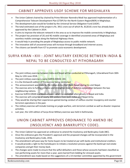#### CABINET APPROVES USOF SCHEME FOR MEGHALAYA

- The Union Cabinet chaired by chaired by Prime Minister Narendra Modi has approved Implementation of a Comprehensive Telecom Development Plan (CTDP) for the North Eastern Region(NER) in Meghalaya.
- The development plan would be funded by the Universal Service Obligation Fund (USOF).
- The total estimated cost of the project is Rs. 3911 crore out of which Rs. 8120.81 crore has already been approved by the Cabinet in 2014.
- It aims to improve the telecom network in the area so as to improve the mobile connectivity in Meghalaya.
- The project has provision of 2G and 4G mobile coverage in identified uncovered areas of Meghalaya and seamless mobile coverage along the National Highways there.
- It would help in providing the people of Meghalaya access to public mobile network.
- The innovative skill of uncovered areas will increase through broadband and internet access.
- The citizens can benefit from ICT to promote socio-economic development.

## SURYA KIRAN –XIII : JOINT MILITARY EXERCISE BETWEEN INDIA & NEPAL TO BE CONDUCTED AT PITHORAGARH

- The joint military exercise between India and Nepal will be conducted at Pithoragarh, Uttarakhand from 30th May to 12th June 2018.
- The joint military exercise is name SURYA KIRAN-XIII.
- It is the thirteenth edition of the exercise being conducted.
- This announcement was made by the Indian Army chief Bipin Rawat during his visit Nepal.
- The exercise aims to further enhance and strengthen level of defence cooperation between the two neighbouring nations.
- Exercise SURYA KIRAN is a biannual event which is conducted alternatively in Nepal and India.
- The exercise will comprise of nearly 300 soldiers from both Indian and Nepal Army.
- They would be sharing their experiences gained during conduct of various counter insurgency and counter terrorism operations in the past.
- The military exercise will include training on jungle warfare, anti-terrorism combat as well as disaster response activities.
- Last year, the 12th edition of Surya Kiran Military exercise was held in Kathmandu.

### UNION CABINET APPROVES ORDINANCE TO AMEND IBC (INSOLVENCY AND BANKRUPTCY CODE).

- The Union Cabinet has approved an ordinance to amend the Insolvency and Bankruptcy Code (IBC).
- Once the ordinance gets the President's approval and the proposed changes will be incorporated in the Insolvency and Bankruptcy Code, 2016.
- The amendment will pave way for home buyers to be treated at par with banks and institutional creditors.
- It would provide a right to the homebuyers to initiate a resolution process against the bankrupt real estate companies and get their money back.
- The changes were made to ensure that the wilful defaulters and those whose accounts had been classified as non-performing assets for more than a year, were barred from bidding for stressed assets.
- The amendment was made based on the suggestions of a 14-member committee appointed by the government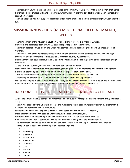- The Insolvency Law Committee had recommended to the Ministry of Corporate Affairs last month, that home buyers should be treated as financial creditors, which will allow them to equitably participate in an insolvency resolution process.
- The Cabinet panel has also suggested relaxations for micro, small and medium enterprises (MSMEs) under the IBC.

### MISSION INNOVATION (MI) MINISTERIAL HELD AT MALMO, SWEDEN

- The third edition of the Mission Innovation Ministerial Meet was held in Malmo, Sweden.
- Ministers and delegates from around 23 countries participated in the meeting.
- The Indian delegation was led by the Union Minister for Science, Technology and Earth Sciences, Dr Harsh Vardhan.
- The Minister and other delegates participated in several discussions with business leaders, clean energy innovators and policy makers to discuss plans, progress, country highlights etc.
- Mission innovation countries launched Mission Innovation Champions Programme to felicitate clean energy innovators.
- At the Solutions Summit, the MI 2020 Solutions booklet was launched.
- It showcased over fifty cutting-edge breakthroughs emerging from MI members investments ranging from blockchain technologies to the world's first commercial passenger electric boat.
- A World Economic Forum White paper on public-private cooperation was also released.
- A workshop on Smart Grid was inaugurated by Dr Harsh Vardhan at Copenhagen.
- He also chaired public-private round table on Strategies on Decarbonisation through innovations in Smart Grids.
- India announced its plan of hosting MI clean energy material workshop in November 2018.

## IMD COMPETITIVENESS RANKINGS – INDIA AT 44TH RANK

- As per the annual rankings compiled by International Institute for Management Development (IMD), India ranks 44th.
- The list was topped by the US which became the most competitive economy globally driven by its strength in economic performance and infrastructure.
- It was followed by Hong Kong and Singapore in the second and third place, respectively.
- India has moved up to 44th position worldwide, up one rank from last year.
- It is ranked the 12th most competitive economy out of the 14 Asian countries on the list.
- China was ranked 13th, It continued with its steady rise in rankings over the past five years.
- This year total 63 countries were ranked out of which Saudi Arabia and Cyprus were the new additions.
- The top 10 countries as per IMD competitiveness rankings are
	- o US
	- o HongKong
	- o Singapore
	- o Netherlands
	- o Switzerland
	- o Denmark
	- o UAE
	- o Norway
	- o Sweden
	- o Canada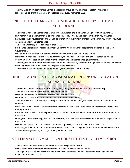- The IMD World Competitiveness Center is a research group at IMD business school in Switzerland.
- It has been publishing the competitiveness rankings every year since 1989.

### INDO-DUTCH GANGA FORUM INAUGURATED BY THE PM OF NETHERLANDS

- The Prime Minister of Netherlands Mark Rutte inaugurated the Indo-Dutch Ganga Forum in New Delhi.
- Last year in June, a Memorandum of Understanding (MoU) was signed between the Ministry of Water Resources, River Development and Ganga Rejuvenation, Government of India and the Ministry of Infrastructure & Environment of the Netherlands.
- This forum was inaugurated in lines of that MoU.
- Mark Rutte appreciated efforts being made under the Namami Gange programme launched by the Modi Government.
- He also advocated waste-to-wealth approach to encourage sustainability of projects.
- He further mentioned that the local governments, the financial sector and the private sector, as well as communities, will need to join hands with the Indian and the Netherlands governments.
- The inauguration of the Indo-Dutch Ganga Forum was followed by a session during which issues like "Innovative Financing Models for Indo-Dutch PPP Projects" were discussed.
- The session included a detailed discussion on Hybrid Annuity based PPP mode.

### UNICEF LAUNCHES DATA VISUALIZATION APP ON EDUCATION SCENARIO IN INDIA

- The UNICEF (United Nations Children's Emergency Fund) has launched a Data Visualization App.
- The app is launched in collaboration with the following-
- National Council for Educational Research and Training (NCERT)
- National Institute of Education Planning and Administration (NIEPA)
- The app provides a user-friendly visual representation of complex analytics of the education scenario in the country.
- It uses the UDISE (Unified District Information System for Education), NAS (National Assessment survey), and demographic data.
- It can be used as a visual tool by policymakers, academia, and researchers to monitor programs in the field of education.
- During the launch of the app, Anil Swarup, Secretary, HRD Ministry, emphasized on the need for digitization in education.
- UNICEF India organized a Shiksha Mela Education Open Day in partnership with HRD Ministry.
- It was organized with an aim to demonstrate case stories showcasing holistic and equitable quality education achieved through convergent programming across 17 states.

### 15TH FINANCE COMMISSION CONSTITUTES HIGH LEVEL GROUP

- The Fifteenth Finance Commission has constituted a High-Level Group.
- It consists of various eminent experts from across the country in Health Sector.
- This High-Level Group was constituted to examine the strengths and weaknesses for enabling balanced expansion of Health Sector.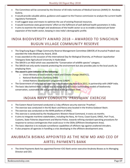- The Committee will be convened by the Director of All India Institutes of Medical Sciences (AIIMS) Dr. Randeep Guleria.
- It would provide valuable advice, guidance and support to the Finance commission to analyze the current health regulatory framework.
- It will suggest ways and means to optimize the use of existing financial resources.
- It would incentivize state governments' effort on the fulfilment of well-defined health parameters in India.
- It aims to examine the strength and weaknesses of the health sector so as to enable a balanced yet faster expansion of the health sector, keeping in view India's demographic profile.

## INDIA BIODIVERSITY AWARD 2018 – AWARDED TO SINGCHUN BUGUN VILLAGE COMMUNITY RESERVE

- The Singchung Bugun Village Community Reserve Management Committee (SBVCR) of Arunachal Pradesh was awarded the India Biodiversity Award, 2018.
- It was awarded on the occasion of the International Day for Biological Diversity, at Professor Jayashankar Telangana State Agricultural University in Hyderabad.
- The SBVCR is an NGO which was awarded the "Conservation of wildlife species" category.
- The SBVCR not only works towards protecting the environment but also provides jobs to the local youth, by employing them.
- **The award is joint initiative of the following**
	- o Union Ministry of Environment, Forest and Climate Change (MoEFCC),
	- o National Biodiversity Authority (NBA)
	- o United Nations Development programme (UNDP)
- The Government of India had initiated the India Biodiversity Awards in 2012, in partnership with UNDP India.
- The basic idea behind these awards was to recognize and honour outstanding models of biodiversity conservation, sustainable use and governance at the grassroots level.

#### INDIAN NAVY CONDUCTS 'PRASTHAN' EXERCISE

- The Eastern Naval Command conducted a 2-day offshore security exercise 'Prasthan'.
- The exercise was conducted in the KG Basin and Ravva area located in the Krishna Godavari Basin.
- The exercise was conducted on the MHN platform of ONGC.
- This exercise is conducted by the Headquarters Western Naval Command, in every six months.
- It aims to integrate maritime stakeholders, including the Navy, Air Force, Coast Guard, ONGC, Port Trust, Customs, State Fisheries department and Marine Police, towards refining standard operating procedures for response to various contingencies that could occur in the ODAs (Offshore Development Area).
- The basic objective is to evaluate surveillance capabilities of offshore rigs against unaltered intruders.
- It also prepares all agencies in handling a crisis developing in the offshore development area.

### ANUBRATA BISWAS APPOINTED AS THE NEW MD AND CEO OF AIRTEL PAYMENTS BANK

 The Airtel Payments Bank has appointed former ICICI Bank senior executive Anubrata Biswas as its Managing Director and CEO.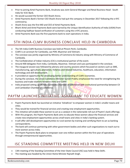- Prior to joining Airtel Payments Bank, Anubrata was Joint General Manager and Retail Business Head South India for ICICI Bank.
- He would succeed the former CEO Shashi Arora.
- Airtel Payments Bank's former CEO Shashi Arora had quit the company in December 2017 following the e-KYC controversy.
- Shashi Arora was the first MD and CEO of Airtel Payments Bank.
- Bharti Airtel and Airtel Payments Bank were barred by the Unique Identification Authority of India (UIDAI) from conducting Aadhaar-based verification of customers using the e-KYC process.
- Airtel Payments Bank was the first payments bank to start operations in India.

#### 5TH INDIA-CLMV BUSINESS CONCLAVE HELD IN CAMBODIA

- The 5th India-CLMV Business Conclave was held at Phnom Penh, Cambodia.
- CLMV is an acronym for Cambodia, Lao PDR, Myanmar and Vietnam.
- The conclave was jointly organized by Ministry of Commerce & Industry along with Ministry of Commerce of Cambodia.
- The Confederation of Indian Industry (CII) is institutional partner of the event.
- Around 400 delegates from India, Cambodia, Myanmar, Vietnam and Laos participated in the conclave.
- The inaugural session was followed by plenary and country sessions which focussed on sectors such as SME, manufacturing, agriculture, plantation, fisheries and related industries, healthcare, education, information technology and skill development.
- It provided an opportunity for developing better understanding of CLMV economies.
- During the conclave, the Union Commerce Minister Suresh Prabhu emphasized the need for strengthening the business and trade relations between India and CLMV.
- India proposed setting up of India-Cambodia Chamber of commerce with institutional partnership between CII and Cambodian Chamber of Commerce.

## PAYTM LAUNCHES INITIATIVE 'ASHAKIRAN' TO EDUCATE WOMEN

- Paytm Payments Bank has launched an initiative 'AshaKiran' to empower women in India's smaller towns and cities.
- They would be trained for financial services and creating new employment opportunities.
- This initiative will enable these women to act as a catalyst in the nationwide roll-out of Paytm's bank offerings.
- With this program, the Paytm Payments Bank aims to educate these women about the financial services and create new employment opportunities across small towns and cities in India's banking system.
- It will offer skill development opportunities to rural women by training and certifying them to act as banking correspondents.
- The bank will continue partnering with other government bodies and other such organizations to reach out to more women across India.
- The Paytm Payments Bank plans to empower over one million women within the first year of operations through entrepreneurial opportunities.

#### ISC STANDING COMMITTEE MEETING HELD IN NEW DELHI

- 13th meeting of the Standing Committee of the Inter-State Council (ISC) was held in New Delhi.
- The meeting was headed by the Union Home Minister Rajnath Singh.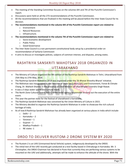- The meeting of the Standing Committee focuses on the volumes 6th and 7th of the Punchhi Commission's report.
- Discussions were held on all the 273 recommendations of the Punchhi Commission.
- All the recommendations that are finalized in the meeting will be placed before the Inter State Council for its decision.
- **The recommendations mentioned in the volume 6th of the Punchhi Commission report are related to**
	- o Environment
	- o Natural Resources
	- o Infrastructure.
- **The recommendations mentioned in the volume 7th of the Punchhi Commission report are related to**
	- o Socio-economic development
	- o Public Policy
	- o Good Governance
- The Inter State Council is a non permanent constitutional body setup by a presidential order on recommendation of Sarkaria Commission
- It aims to discuss or investigate policies, subjects of common interest, and disputes, among states.

### RASHTRIYA SANSKRITI MAHOTSAV 2018 ORGANIZED IN UTTARAKHAND

- The Ministry of Culture organized the 9th edition of the Rashtriya Sanskriti Mahotsav in Tehri, Uttarakhand from 25th May to 27th May, 2018.
- The Rashtriya Sanskriti Mahotsav 2018 was organized under the 'Ek Bharat Shrestha Bharat' initiative.
- The Mahotsav was inaugurated by the Minister of State for Culture (I/C) and Environment, Forest & Climate Chang, Dr. Mahesh Sharma in the presence of Chief Minister of Uttarakhand Trivendra Singh Rawat.
- It was a 3 days water sports and cultural event.
- The North Zone Cultural Centre (NZCC) is the nodal agency responsible to carry out the execution of the entire event.
- This year the partner state for the festival of Utarakhand is Karnataka.
- The Rashtriya Sanskriti Mahotsav was conceived by the Union Ministry of Culture in 2015.
- The Ministry decided to organize the Rashtriya Sanskriti Mahotsav in order to showcase the rich cultural heritage of India.
- As of now 8 Rashtriya Sanskriti Mahotsav has already been organized at various places in India which include-
	- $\circ$  Delhi 2
	- o Karnataka 2
	- o Varanasi 1
	- o Gujarat 1
	- o Madhya Pradesh 1
	- o NE states -1

#### DRDO TO DELIVER RUSTOM-2 DRONE SYSTEM BY 2020

- The Rustom-2 is an UAV (Unmanned Aerial Vehicle) system, indigenously developed by the DRDO.
- The initial test of the UAV recently got conducted at a test facility based in Chitradurga in Karnataka. Mr. S Christopher, the DRDO Chairman has declared in Pune that currently they are perfecting various systems to be mounted on the UAV and additionally, attempts will be made to enhance the altitude of the drone. With the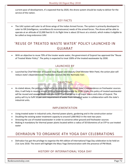current pace of development, it's expected that by 2020, the drone system should be ready to deliver for the service of the nation.

## KEY FACTS

 The UAV system will cater to all three wings of the Indian Armed Forces. The system is primarily developed to cater to ISR (Intelligence, surveillance & reconnaissance) needs of the armed forces. The drone will be able to operate at an altitude of 22,000 feet & it's its flight time is about 20 hours at a stretch, which makes it eligible to be called as long endurance UAV.

## 'REUSE OF TREATED WASTE WATER' POLICY LAUNCHED IN GUJARAT

 With an objective to reuse 70% of the treater waste water, the government of Gujarat has approved the "Reuse of Treated Water Policy". The policy is expected to treat 100% of the treated wastewater by 2030.

## LAUNCHED BY

Launched by Chief Minister of Gujarat Vijay Rupani and Deputy Chief Minister Nitin Patel, the action plan will reduce state's dependence on freshwater sources like the Narmada river.

## **OBJECTIVE**

As stated above, the policy is launched by an objective to diminish state's independence on freshwater sources. Also, it will help in resuing almost 100% of treated wastewater by 2030. Under this policy of treated wastewater will be reused and sewage treatment plants (STP) will be set up in all major towns and cities of Gujarat. The policy will try to fulfil 50 per cent requirement of water from retreated water in collaboration with the state's industrial units.

#### IMPLEMENTATION

- Using treated water in industrial units, thermal power plants, gardening and in the construction sector
- Doubling the existing water treatment capacity to around 5,000 MLD in the next two years
- Stressing the use of treated wastewater in order to conserve other ground and freshwater sources
- Making it mandatory for thermal power plants located within a radius of 50 kilometres of an STP to use treated water

## DEHRADUN TO ORGANISE 4TH YOGA DAY CELEBRATIONS

 Dehradun has got the privilege to organise the 4th edition of International Yoga Day celebration to be held on 21st June 2018. The event will highlight the Mass Yoga Demonstration with the presence of PM Modi.

### HISTORY OF INTERNATIONAL YOGA DAY

Bankexamstoday.com Page 72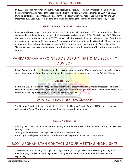In 2001, a proposal for "World Yoga Day" was observed by Portuguese Yoga Confederation and the Yoga Samkhya Institute. As a result of the proposal, the first World Yoga Day was celebrated on 21st June 2002. During a conference, titled 'Yoga: A Science for World Peace' which was held in Bengaluru on 4th and 5th December 2011 yoga guru from all parts of the world endorsing the idea for an International Day for Yoga

### FIRST INTERNATIONAL YOGA DAY

 International Day of Yoga is celebrated annually on 21 June since its inception in 2015. An international day for yoga was declared unanimously by the United Nations General Assembly (UNGA). The Ministry of AYUSH made the necessary arrangements in India. 35,985 people, including Narendra Modi and a large number of dignitaries from 84 nations, performed 21 yoga asanas (postures) for 35 minutes at Rajpath in New Delhi. The day devoted to yoga was observed by millions across the world.NCC cadets entered the Limca Book of Records for the "largest yoga performance simultaneously by a single uniformed youth organisation" by performing at multiple venues.

# PANKAJ SARAN APPOINTED AS DEPUTY NATIONAL SECURITY ADVISOR

Pankaj Saran's appointment has been appointed as the deputy of National Security Advisor for a period of two years. Appointments Committee of the Cabinet has approved his appointment replacing Rajinder Khanna.

## ABOUT SARAN

Pankaj is a 1982-Batch Indian Foreign Service officer who is presently serving as India's ambassador to Russia since 2015. He had once served as country's High Commissioner to Bangladesh and twice in the Prime Minister's Office (PMO) as Deputy Secretary/ Director. He will serve Ajit Doval.

## WHO IS A NATIONAL SECURITY ADVISOR?

 The National Security Adviser is the chief executive of the National Security Council (NSC), and the primary adviser to the Prime Minister of India on national and international security.

## RESPONSIBILITIES

- Advising the Prime Minister on all matters relating to internal and external threats to the country, and oversees strategic issues.
- Serving as the Prime Minister's Special Interlocutor on border issues
- Receiving all intelligence reports and co-ordinates them to present before the Prime Minister.

## SCO –AFGHANISTAN CONTACT GROUP MEETING HIGHLIGHTS

 The second edition of Shanghai Cooperation Organisation(SCO)-Afghanistan Group Meeting was organised in China's Beijing in which India's delegation was led by Gitesh Sharma, Additional Secretary (Multilateral Diplomacy).

Bankexamstoday.com Page 73